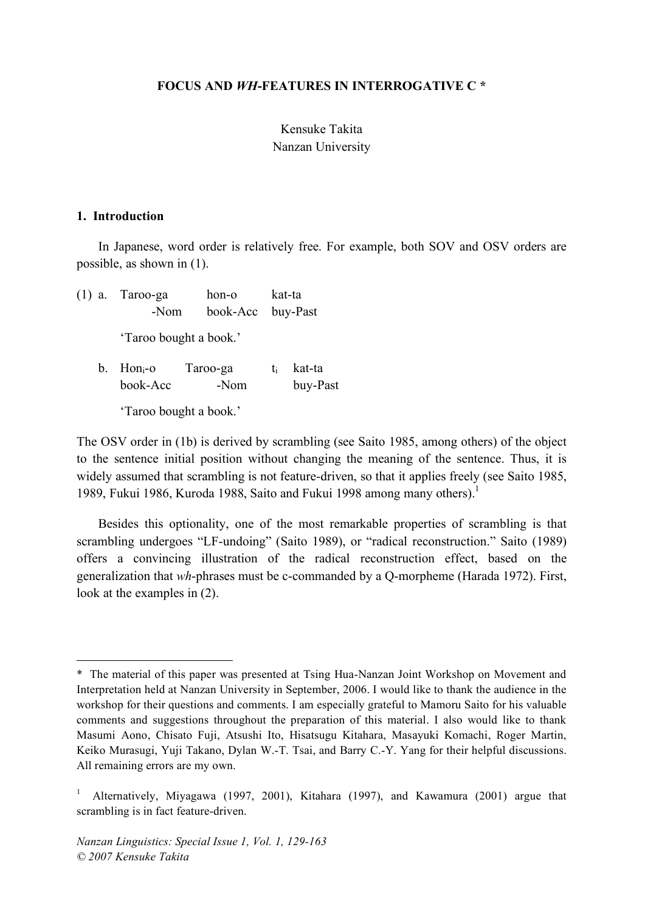#### **FOCUS AND** *WH***-FEATURES IN INTERROGATIVE C \***

# Kensuke Takita Nanzan University

#### **1. Introduction**

l

In Japanese, word order is relatively free. For example, both SOV and OSV orders are possible, as shown in (1).

(1) a. Taroo-ga hon-o kat-ta -Nom book-Acc buy-Past 'Taroo bought a book.' b. Hon $_{i}$ -o Taroo-ga  $t_{i}$  kat-ta book-Acc -Nom buy-Past 'Taroo bought a book.'

The OSV order in (1b) is derived by scrambling (see Saito 1985, among others) of the object to the sentence initial position without changing the meaning of the sentence. Thus, it is widely assumed that scrambling is not feature-driven, so that it applies freely (see Saito 1985, 1989, Fukui 1986, Kuroda 1988, Saito and Fukui 1998 among many others). 1

Besides this optionality, one of the most remarkable properties of scrambling is that scrambling undergoes "LF-undoing" (Saito 1989), or "radical reconstruction." Saito (1989) offers a convincing illustration of the radical reconstruction effect, based on the generalization that *wh*-phrases must be c-commanded by a Q-morpheme (Harada 1972). First, look at the examples in (2).

<sup>\*</sup> The material of this paper was presented at Tsing Hua-Nanzan Joint Workshop on Movement and Interpretation held at Nanzan University in September, 2006. I would like to thank the audience in the workshop for their questions and comments. I am especially grateful to Mamoru Saito for his valuable comments and suggestions throughout the preparation of this material. I also would like to thank Masumi Aono, Chisato Fuji, Atsushi Ito, Hisatsugu Kitahara, Masayuki Komachi, Roger Martin, Keiko Murasugi, Yuji Takano, Dylan W.-T. Tsai, and Barry C.-Y. Yang for their helpful discussions. All remaining errors are my own.

<sup>1</sup> Alternatively, Miyagawa (1997, 2001), Kitahara (1997), and Kawamura (2001) argue that scrambling is in fact feature-driven.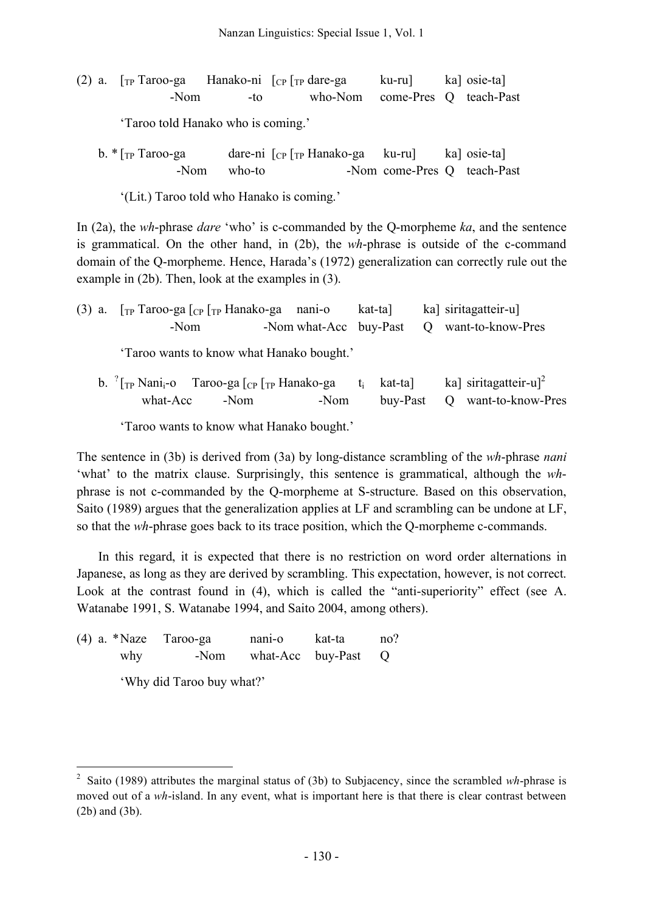| (2) a. $\lceil_{TP} \text{ Taroo-ga} \rceil$ Hanako-ni $\lceil_{CP} \rceil_{TP}$ dare-ga |      | ku-ru]                         | ka] osie-ta] |
|------------------------------------------------------------------------------------------|------|--------------------------------|--------------|
| -Nom                                                                                     | -to- | who-Nom come-Pres Q teach-Past |              |

'Taroo told Hanako who is coming.'

| b. $\sqrt[k]{r}$ Taroo-ga | dare-ni $\lceil_{CP} \rceil$ <sub>TP</sub> Hanako-ga ku-ru |                             | ka] osie-ta] |
|---------------------------|------------------------------------------------------------|-----------------------------|--------------|
| -Nom who-to               |                                                            | -Nom come-Pres Q teach-Past |              |

'(Lit.) Taroo told who Hanako is coming.'

In (2a), the *wh*-phrase *dare* 'who' is c-commanded by the Q-morpheme *ka*, and the sentence is grammatical. On the other hand, in (2b), the *wh*-phrase is outside of the c-command domain of the Q-morpheme. Hence, Harada's (1972) generalization can correctly rule out the example in (2b). Then, look at the examples in (3).

| (3) a. $\lceil_{TP}$ Taroo-ga $\lceil_{CP}$ $\lceil_{TP}$ Hanako-ga nani-o<br>-Nom                       | -Nom what-Acc buy-Past | kat-ta]                            | ka] siritagatteir-u]<br>Q want-to-know-Pres              |
|----------------------------------------------------------------------------------------------------------|------------------------|------------------------------------|----------------------------------------------------------|
| 'Taroo wants to know what Hanako bought.'                                                                |                        |                                    |                                                          |
| b. $\int$ <sub>TP</sub> Nani <sub>i</sub> -o Taroo-ga $\int_{CP}$ $\int_{TP}$ Hanako-ga<br>what-Acc -Nom | -Nom                   | t <sub>i</sub> kat-ta]<br>buy-Past | ka] siritagatteir-u] <sup>2</sup><br>Q want-to-know-Pres |

'Taroo wants to know what Hanako bought.'

The sentence in (3b) is derived from (3a) by long-distance scrambling of the *wh*-phrase *nani* 'what' to the matrix clause. Surprisingly, this sentence is grammatical, although the *wh*phrase is not c-commanded by the Q-morpheme at S-structure. Based on this observation, Saito (1989) argues that the generalization applies at LF and scrambling can be undone at LF, so that the *wh*-phrase goes back to its trace position, which the Q-morpheme c-commands.

In this regard, it is expected that there is no restriction on word order alternations in Japanese, as long as they are derived by scrambling. This expectation, however, is not correct. Look at the contrast found in (4), which is called the "anti-superiority" effect (see A. Watanabe 1991, S. Watanabe 1994, and Saito 2004, among others).

(4) a. \*Naze Taroo-ga nani-o kat-ta no? why -Nom what-Acc buy-Past Q 'Why did Taroo buy what?'

 <sup>2</sup> Saito (1989) attributes the marginal status of (3b) to Subjacency, since the scrambled *wh*-phrase is moved out of a *wh*-island. In any event, what is important here is that there is clear contrast between (2b) and (3b).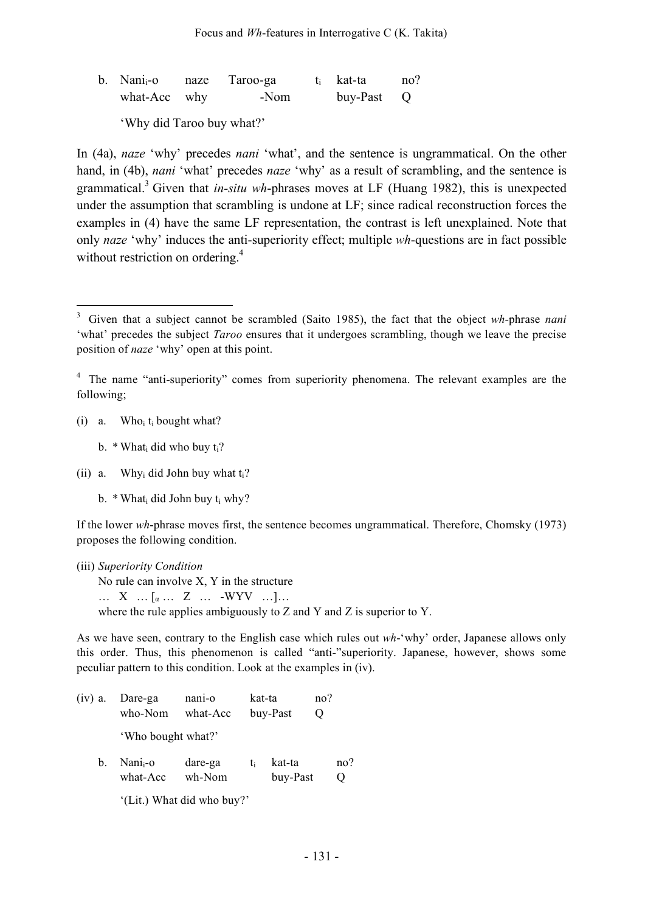| $b.$ Nani <sub>i</sub> -o | naze Taroo-ga | t <sub>i</sub> kat-ta | no? |
|---------------------------|---------------|-----------------------|-----|
| what-Acc why              | -Nom          | buy-Past Q            |     |

'Why did Taroo buy what?'

In (4a), *naze* 'why' precedes *nani* 'what', and the sentence is ungrammatical. On the other hand, in (4b), *nani* 'what' precedes *naze* 'why' as a result of scrambling, and the sentence is grammatical. <sup>3</sup> Given that *in-situ wh*-phrases moves at LF (Huang 1982), this is unexpected under the assumption that scrambling is undone at LF; since radical reconstruction forces the examples in (4) have the same LF representation, the contrast is left unexplained. Note that only *naze* 'why' induces the anti-superiority effect; multiple *wh*-questions are in fact possible without restriction on ordering.<sup>4</sup>

(i) a. Who<sub>i</sub>  $t_i$  bought what?

b.  $*$  What<sub>i</sub> did who buy t<sub>i</sub>?

(ii) a. Why<sub>i</sub> did John buy what  $t_i$ ?

b.  $*$  What did John buy t<sub>i</sub> why?

If the lower *wh*-phrase moves first, the sentence becomes ungrammatical. Therefore, Chomsky (1973) proposes the following condition.

(iii) *Superiority Condition* No rule can involve X, Y in the structure …  $X \dots [a \dots Z \dots -WYY \dots]...$ where the rule applies ambiguously to Z and Y and Z is superior to Y.

As we have seen, contrary to the English case which rules out *wh*-'why' order, Japanese allows only this order. Thus, this phenomenon is called "anti-"superiority. Japanese, however, shows some peculiar pattern to this condition. Look at the examples in (iv).

(iv) a. Dare-ga nani-o kat-ta no? who-Nom what-Acc buy-Past Q 'Who bought what?' b. Nani<sub>i</sub>-o dare-ga  $t_i$  kat-ta no? what-Acc wh-Nom buy-Past Q

'(Lit.) What did who buy?'

 <sup>3</sup> Given that <sup>a</sup> subject cannot be scrambled (Saito 1985), the fact that the object *wh*-phrase *nani* 'what' precedes the subject *Taroo* ensures that it undergoes scrambling, though we leave the precise position of *naze* 'why' open at this point.

<sup>&</sup>lt;sup>4</sup> The name "anti-superiority" comes from superiority phenomena. The relevant examples are the following;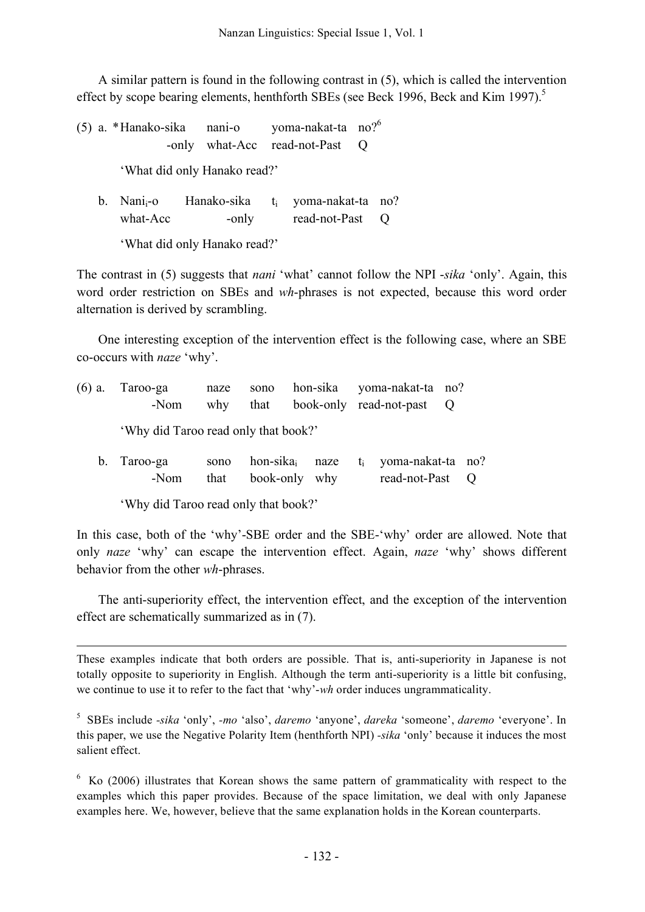A similar pattern is found in the following contrast in (5), which is called the intervention effect by scope bearing elements, henthforth SBEs (see Beck 1996, Beck and Kim 1997).<sup>5</sup>

(5) a. \*Hanako-sika nani-o yoma-nakat-ta no?6 -only what-Acc read-not-Past Q 'What did only Hanako read?'

| b. Nani <sub>i</sub> -o | Hanako-sika | $t_i$ yoma-nakat-ta no? |  |
|-------------------------|-------------|-------------------------|--|
| what-Acc                | -only       | read-not-Past           |  |

'What did only Hanako read?'

The contrast in (5) suggests that *nani* 'what' cannot follow the NPI -*sika* 'only'. Again, this word order restriction on SBEs and *wh*-phrases is not expected, because this word order alternation is derived by scrambling.

One interesting exception of the intervention effect is the following case, where an SBE co-occurs with *naze* 'why'.

| $(6)$ a. Taroo-ga<br>-Nom            | naze<br>why  |               |  | sono hon-sika yoma-nakat-ta no?<br>that book-only read-not-past Q     |  |
|--------------------------------------|--------------|---------------|--|-----------------------------------------------------------------------|--|
| 'Why did Taroo read only that book?' |              |               |  |                                                                       |  |
| b. Taroo-ga<br>-Nom                  | sono<br>that | book-only why |  | hon-sika <sub>i</sub> naze $t_i$ yoma-nakat-ta no?<br>read-not-Past Q |  |

'Why did Taroo read only that book?'

j

In this case, both of the 'why'-SBE order and the SBE-'why' order are allowed. Note that only *naze* 'why' can escape the intervention effect. Again, *naze* 'why' shows different behavior from the other *wh*-phrases.

The anti-superiority effect, the intervention effect, and the exception of the intervention effect are schematically summarized as in (7).

These examples indicate that both orders are possible. That is, anti-superiority in Japanese is not totally opposite to superiority in English. Although the term anti-superiority is a little bit confusing, we continue to use it to refer to the fact that 'why'-*wh* order induces ungrammaticality.

<sup>5</sup> SBEs include *-sika* 'only', *-mo* 'also', *daremo* 'anyone', *dareka* 'someone', *daremo* 'everyone'. In this paper, we use the Negative Polarity Item (henthforth NPI) *-sika* 'only' because it induces the most salient effect.

 $6\,$  Ko (2006) illustrates that Korean shows the same pattern of grammaticality with respect to the examples which this paper provides. Because of the space limitation, we deal with only Japanese examples here. We, however, believe that the same explanation holds in the Korean counterparts.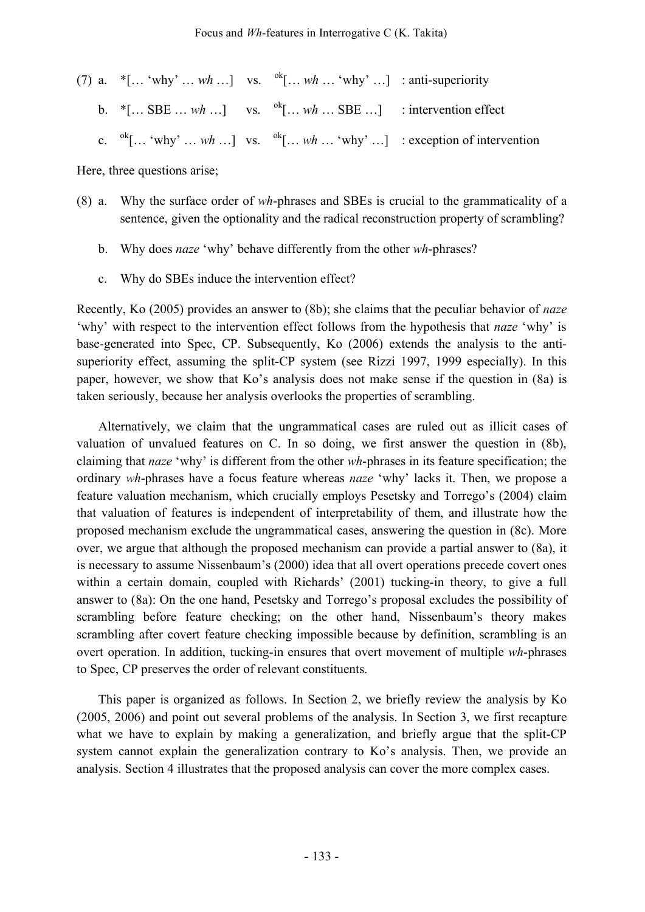|  | (7) a. *[ 'why'  wh ] vs. $\int^{b}$ [ wh  'why' ] : anti-superiority                                  |                                                                                                            |
|--|--------------------------------------------------------------------------------------------------------|------------------------------------------------------------------------------------------------------------|
|  | b. $*[\dots$ SBE $\dots$ wh $\dots]$ vs. ${}^{0k}[\dots$ wh $\dots$ SBE $\dots]$ : intervention effect |                                                                                                            |
|  |                                                                                                        | c. $\alpha$ <sup>k</sup> [ 'why'  wh ] vs. $\alpha$ <sup>k</sup> [ wh  'why' ] : exception of intervention |

Here, three questions arise;

- (8) a. Why the surface order of *wh*-phrases and SBEs is crucial to the grammaticality of a sentence, given the optionality and the radical reconstruction property of scrambling?
	- b. Why does *naze* 'why' behave differently from the other *wh*-phrases?
	- c. Why do SBEs induce the intervention effect?

Recently, Ko (2005) provides an answer to (8b); she claims that the peculiar behavior of *naze* 'why' with respect to the intervention effect follows from the hypothesis that *naze* 'why' is base-generated into Spec, CP. Subsequently, Ko (2006) extends the analysis to the antisuperiority effect, assuming the split-CP system (see Rizzi 1997, 1999 especially). In this paper, however, we show that Ko's analysis does not make sense if the question in (8a) is taken seriously, because her analysis overlooks the properties of scrambling.

Alternatively, we claim that the ungrammatical cases are ruled out as illicit cases of valuation of unvalued features on C. In so doing, we first answer the question in (8b), claiming that *naze* 'why' is different from the other *wh*-phrases in its feature specification; the ordinary *wh*-phrases have a focus feature whereas *naze* 'why' lacks it. Then, we propose a feature valuation mechanism, which crucially employs Pesetsky and Torrego's (2004) claim that valuation of features is independent of interpretability of them, and illustrate how the proposed mechanism exclude the ungrammatical cases, answering the question in (8c). More over, we argue that although the proposed mechanism can provide a partial answer to (8a), it is necessary to assume Nissenbaum's (2000) idea that all overt operations precede covert ones within a certain domain, coupled with Richards' (2001) tucking-in theory, to give a full answer to (8a): On the one hand, Pesetsky and Torrego's proposal excludes the possibility of scrambling before feature checking; on the other hand, Nissenbaum's theory makes scrambling after covert feature checking impossible because by definition, scrambling is an overt operation. In addition, tucking-in ensures that overt movement of multiple *wh*-phrases to Spec, CP preserves the order of relevant constituents.

This paper is organized as follows. In Section 2, we briefly review the analysis by Ko (2005, 2006) and point out several problems of the analysis. In Section 3, we first recapture what we have to explain by making a generalization, and briefly argue that the split-CP system cannot explain the generalization contrary to Ko's analysis. Then, we provide an analysis. Section 4 illustrates that the proposed analysis can cover the more complex cases.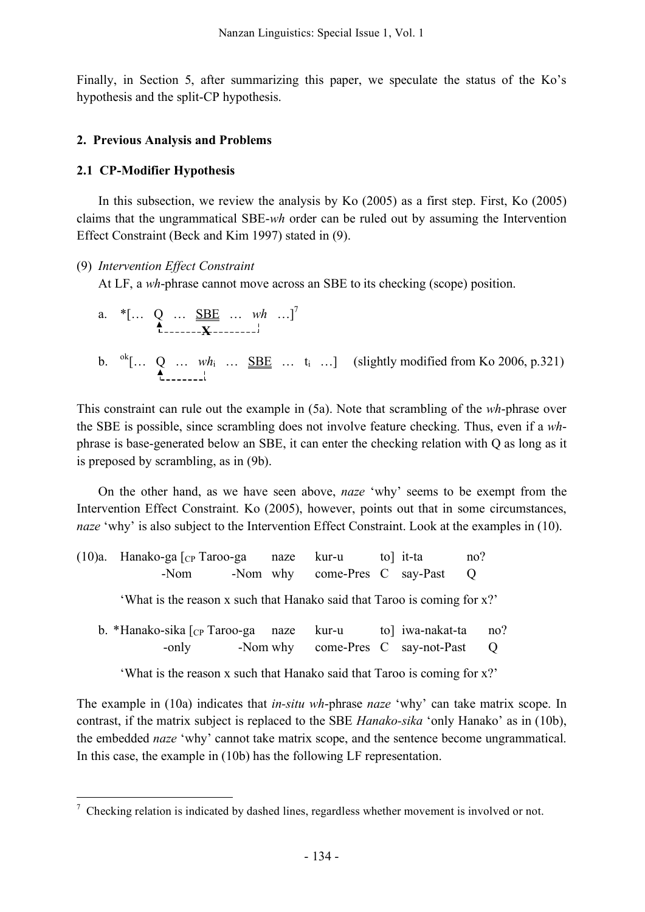Finally, in Section 5, after summarizing this paper, we speculate the status of the Ko's hypothesis and the split-CP hypothesis.

## **2. Previous Analysis and Problems**

## **2.1 CP-Modifier Hypothesis**

In this subsection, we review the analysis by Ko (2005) as a first step. First, Ko (2005) claims that the ungrammatical SBE-*wh* order can be ruled out by assuming the Intervention Effect Constraint (Beck and Kim 1997) stated in (9).

## (9) *Intervention Effect Constraint*

At LF, a *wh*-phrase cannot move across an SBE to its checking (scope) position.

|  |  | a. *[ $Q$ $\underbrace{SBE}_{\underbrace{\text{}}$ wh ] <sup>7</sup> |  |                                                                                           |
|--|--|----------------------------------------------------------------------|--|-------------------------------------------------------------------------------------------|
|  |  |                                                                      |  | b. ${}^{0k}$ [ Q $wh_i$ $\underline{SBE}$ $t_i$ ] (slightly modified from Ko 2006, p.321) |

This constraint can rule out the example in (5a). Note that scrambling of the *wh*-phrase over the SBE is possible, since scrambling does not involve feature checking. Thus, even if a *wh*phrase is base-generated below an SBE, it can enter the checking relation with Q as long as it is preposed by scrambling, as in (9b).

On the other hand, as we have seen above, *naze* 'why' seems to be exempt from the Intervention Effect Constraint. Ko (2005), however, points out that in some circumstances, *naze* 'why' is also subject to the Intervention Effect Constraint. Look at the examples in (10).

(10)a. Hanako-ga  $\lceil c \rceil$  Taroo-ga naze kur-u to it-ta no? -Nom -Nom why come-Pres C say-Past Q

'What is the reason x such that Hanako said that Taroo is coming for x?'

| b. *Hanako-sika $\lceil_{CP}$ Taroo-ga naze kur-u |  |  | to] iwa-nakat-ta no?              |     |
|---------------------------------------------------|--|--|-----------------------------------|-----|
| -only                                             |  |  | -Nom why come-Pres C say-not-Past | – Q |

'What is the reason x such that Hanako said that Taroo is coming for x?'

The example in (10a) indicates that *in-situ wh*-phrase *naze* 'why' can take matrix scope. In contrast, if the matrix subject is replaced to the SBE *Hanako-sika* 'only Hanako' as in (10b), the embedded *naze* 'why' cannot take matrix scope, and the sentence become ungrammatical. In this case, the example in (10b) has the following LF representation.

 $\frac{7}{1}$  Checking relation is indicated by dashed lines, regardless whether movement is involved or not.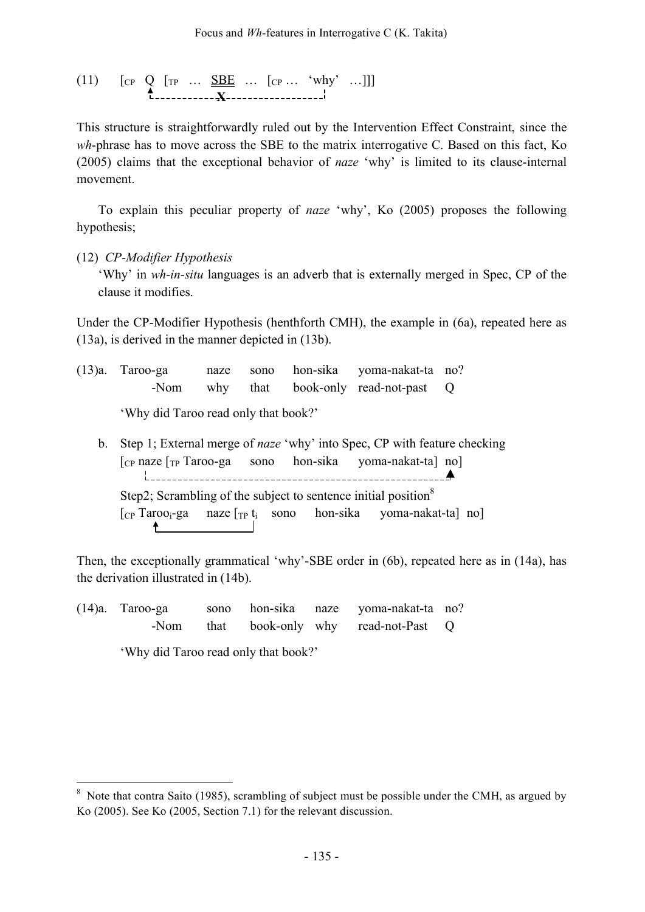$$
(11) \qquad [c_P \quad Q \quad [rp \quad \dots \quad \underline{\underline{\text{SBE}} \quad \dots \quad [c_P \quad \dots \quad 'why' \quad \dots ]]]
$$

This structure is straightforwardly ruled out by the Intervention Effect Constraint, since the *wh*-phrase has to move across the SBE to the matrix interrogative C. Based on this fact, Ko (2005) claims that the exceptional behavior of *naze* 'why' is limited to its clause-internal movement.

To explain this peculiar property of *naze* 'why', Ko (2005) proposes the following hypothesis;

(12) *CP-Modifier Hypothesis*

'Why' in *wh-in-situ* languages is an adverb that is externally merged in Spec, CP of the clause it modifies.

Under the CP-Modifier Hypothesis (henthforth CMH), the example in (6a), repeated here as (13a), is derived in the manner depicted in (13b).

(13)a. Taroo-ga naze sono hon-sika yoma-nakat-ta no? -Nom why that book-only read-not-past Q

'Why did Taroo read only that book?'

b. Step 1; External merge of *naze* 'why' into Spec, CP with feature checking  $\lceil$ <sub>CP</sub> naze  $\lceil$ <sub>TP</sub> Taroo-ga sono hon-sika yoma-nakat-ta] no] Step2; Scrambling of the subject to sentence initial position<sup>8</sup>  $[CP^{T}aroo_i-ga$  naze  $[r_P t_i]$  sono hon-sika yoma-nakat-ta] no]

Then, the exceptionally grammatical 'why'-SBE order in (6b), repeated here as in (14a), has the derivation illustrated in (14b).

(14)a. Taroo-ga sono hon-sika naze yoma-nakat-ta no? -Nom that book-only why read-not-Past Q

'Why did Taroo read only that book?'

<sup>&</sup>lt;sup>8</sup> Note that contra Saito (1985), scrambling of subject must be possible under the CMH, as argued by Ko (2005). See Ko (2005, Section 7.1) for the relevant discussion.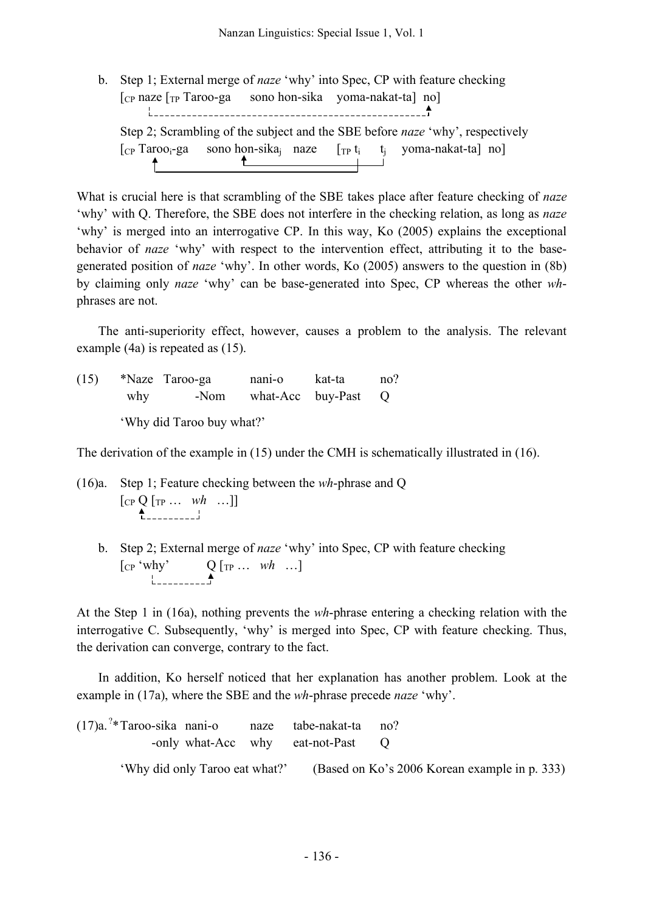b. Step 1; External merge of *naze* 'why' into Spec, CP with feature checking  $\lceil$ <sub>CP</sub> naze  $\lceil$ <sub>TP</sub> Taroo-ga sono hon-sika yoma-nakat-ta] no] Step 2; Scrambling of the subject and the SBE before *naze* 'why', respectively  $[\text{CP} \text{Taroo}_i\text{-ga} \quad \text{sono hon-sika}_j \quad \text{naze} \quad [\text{TP} \text{ t}_i \quad \text{ t}_j \quad \text{yoma-nakat-ta}] \text{ no}]$ 

What is crucial here is that scrambling of the SBE takes place after feature checking of *naze* 'why' with Q. Therefore, the SBE does not interfere in the checking relation, as long as *naze* 'why' is merged into an interrogative CP. In this way, Ko (2005) explains the exceptional behavior of *naze* 'why' with respect to the intervention effect, attributing it to the basegenerated position of *naze* 'why'. In other words, Ko (2005) answers to the question in (8b) by claiming only *naze* 'why' can be base-generated into Spec, CP whereas the other *wh*phrases are not.

The anti-superiority effect, however, causes a problem to the analysis. The relevant example (4a) is repeated as (15).

(15) \*Naze Taroo-ga nani-o kat-ta no? why -Nom what-Acc buy-Past Q 'Why did Taroo buy what?'

The derivation of the example in (15) under the CMH is schematically illustrated in (16).

- (16)a. Step 1; Feature checking between the *wh*-phrase and Q  $[CP Q [TP ... wh ...]]$  $\overset{\blacktriangle}{\Box}$ 
	- b. Step 2; External merge of *naze* 'why' into Spec, CP with feature checking [CP 'why' Q [TP … *wh* …]

At the Step 1 in (16a), nothing prevents the *wh*-phrase entering a checking relation with the interrogative C. Subsequently, 'why' is merged into Spec, CP with feature checking. Thus, the derivation can converge, contrary to the fact.

In addition, Ko herself noticed that her explanation has another problem. Look at the example in (17a), where the SBE and the *wh*-phrase precede *naze* 'why'.

| $(17)a$ . <sup>2</sup> *Taroo-sika nani-o naze tabe-nakat-ta no? |                                |                                   |                                               |  |
|------------------------------------------------------------------|--------------------------------|-----------------------------------|-----------------------------------------------|--|
|                                                                  |                                | -only what-Acc why eat-not-Past Q |                                               |  |
|                                                                  | 'Why did only Taroo eat what?' |                                   | (Based on Ko's 2006 Korean example in p. 333) |  |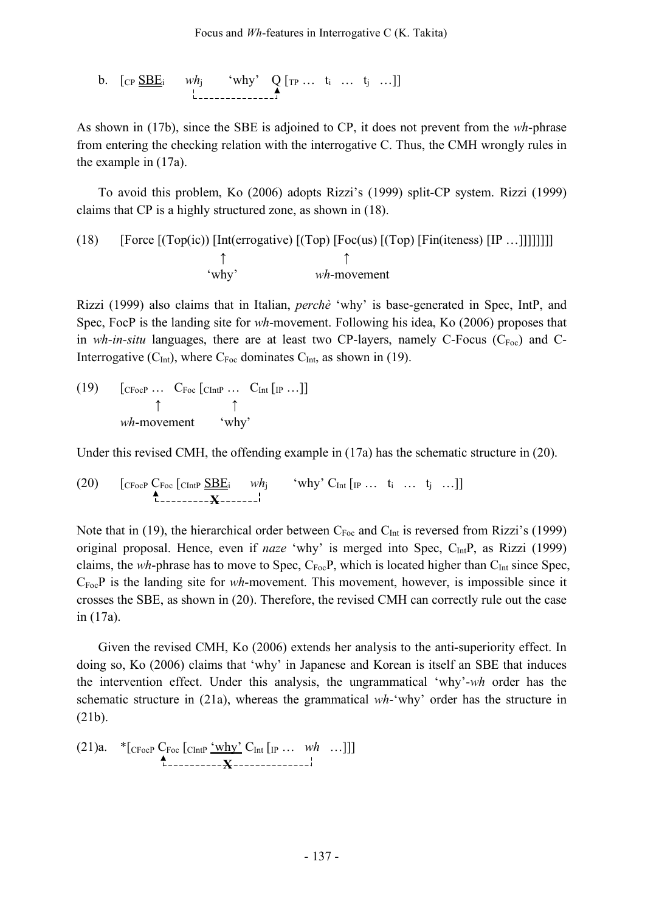b. 
$$
[c_P \underline{\underline{SBE_i}}
$$
  $wh_j$  "why" Q [rp ... t<sub>i</sub> ... t<sub>j</sub> ...]]

As shown in (17b), since the SBE is adjoined to CP, it does not prevent from the *wh*-phrase from entering the checking relation with the interrogative C. Thus, the CMH wrongly rules in the example in (17a).

To avoid this problem, Ko (2006) adopts Rizzi's (1999) split-CP system. Rizzi (1999) claims that CP is a highly structured zone, as shown in (18).

(18) [Force [(Top(ic)) [Int(errogative) [(Top) [Foc(us) [(Top) [Fin(iteness) [IP ...]]]]]] ]\n
$$
\uparrow
$$
\n
$$
\uparrow
$$
\n
$$
\uparrow
$$
\n
$$
\downarrow
$$
\n
$$
\downarrow
$$
\n
$$
\downarrow
$$
\n
$$
\downarrow
$$
\n
$$
\downarrow
$$
\n
$$
\downarrow
$$
\n
$$
\downarrow
$$
\n
$$
\downarrow
$$
\n
$$
\downarrow
$$
\n
$$
\downarrow
$$
\n
$$
\downarrow
$$
\n
$$
\downarrow
$$
\n
$$
\downarrow
$$
\n
$$
\downarrow
$$
\n
$$
\downarrow
$$
\n
$$
\downarrow
$$
\n
$$
\downarrow
$$
\n
$$
\downarrow
$$
\n
$$
\downarrow
$$
\n
$$
\downarrow
$$
\n
$$
\downarrow
$$
\n
$$
\downarrow
$$
\n
$$
\downarrow
$$
\n
$$
\downarrow
$$
\n
$$
\downarrow
$$
\n
$$
\downarrow
$$
\n
$$
\downarrow
$$
\n
$$
\downarrow
$$
\n
$$
\downarrow
$$
\n
$$
\downarrow
$$
\n
$$
\downarrow
$$
\n
$$
\downarrow
$$
\n
$$
\downarrow
$$
\n
$$
\downarrow
$$
\n
$$
\downarrow
$$
\n
$$
\downarrow
$$
\n
$$
\downarrow
$$
\n
$$
\downarrow
$$
\n
$$
\downarrow
$$
\n
$$
\downarrow
$$
\n
$$
\downarrow
$$
\n
$$
\downarrow
$$
\n
$$
\downarrow
$$
\n
$$
\downarrow
$$
\n
$$
\downarrow
$$
\n
$$
\downarrow
$$
\n
$$
\downarrow
$$
\n
$$
\downarrow
$$
\n
$$
\downarrow
$$
\n
$$
\downarrow
$$
\n
$$
\downarrow
$$
\n
$$
\downarrow
$$
\n
$$
\downarrow
$$
\n
$$
\downarrow
$$
\n
$$
\downarrow
$$
\n
$$
\downarrow
$$
\n
$$
\downarrow
$$
\n

Rizzi (1999) also claims that in Italian, *perchè* 'why' is base-generated in Spec, IntP, and Spec, FocP is the landing site for *wh*-movement. Following his idea, Ko (2006) proposes that in *wh-in-situ* languages, there are at least two CP-layers, namely C-Focus  $(C_{\text{Foc}})$  and C-Interrogative ( $C<sub>Int</sub>$ ), where  $C<sub>Foc</sub>$  dominates  $C<sub>Int</sub>$ , as shown in (19).

(19)  $\left[\begin{array}{ccc} \text{CFocP} \dots & \text{CFoc} \end{array} \right]$  [CIntP  $\dots$  C<sub>Int</sub>  $\left[\begin{array}{ccc} \text{IP} \dots \end{array} \right]$ ] ↑ ↑ *wh*-movement 'why'

Under this revised CMH, the offending example in (17a) has the schematic structure in (20).

(20) 
$$
\begin{bmatrix} \text{CFocP} & \text{CFoc} \text{ [CIntP} & \underline{\text{SBE}}_i & \text{wh}_j \\ \text{L}_{\text{---}} & \text{L}_{\text{---}} & \text{L}_{\text{---}} & \end{bmatrix}
$$

Note that in (19), the hierarchical order between  $C_{\text{Foc}}$  and  $C_{\text{Int}}$  is reversed from Rizzi's (1999) original proposal. Hence, even if *naze* 'why' is merged into Spec, C<sub>Int</sub>P, as Rizzi (1999) claims, the *wh*-phrase has to move to Spec, C<sub>Foc</sub>P, which is located higher than C<sub>Int</sub> since Spec, CFocP is the landing site for *wh*-movement. This movement, however, is impossible since it crosses the SBE, as shown in (20). Therefore, the revised CMH can correctly rule out the case in (17a).

Given the revised CMH, Ko (2006) extends her analysis to the anti-superiority effect. In doing so, Ko (2006) claims that 'why' in Japanese and Korean is itself an SBE that induces the intervention effect. Under this analysis, the ungrammatical 'why'-*wh* order has the schematic structure in (21a), whereas the grammatical *wh*-'why' order has the structure in (21b).

(21)a. 
$$
*_{\text{[CFocP]}} C_{\text{Foc}} \left[ \text{CIntP } \frac{\langle \text{why} \rangle}{\mathbf{L}} C_{\text{Int}} \left[ \text{IP } \cdots \text{ Wh } \cdots \right] \right]
$$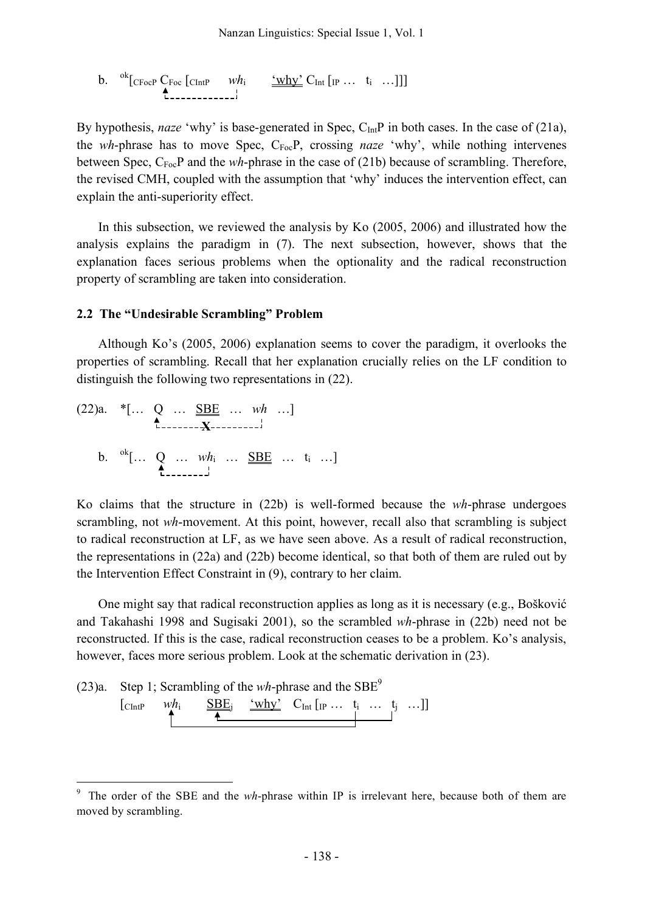b. 
$$
{}^{ok}
$$
[*CFocP*  $C$  *For*  $[ChtP \t\t whi \t\t \frac{\cdot \text{why}^3}{\text{why}^2}C$  *Int*  $[IP \t ... \t\t t_i \t ...]]$ ]

By hypothesis, *naze* 'why' is base-generated in Spec, C<sub>Int</sub>P in both cases. In the case of (21a), the *wh*-phrase has to move Spec, C<sub>Foc</sub>P, crossing *naze* 'why', while nothing intervenes between Spec, C<sub>Foc</sub>P and the *wh*-phrase in the case of (21b) because of scrambling. Therefore, the revised CMH, coupled with the assumption that 'why' induces the intervention effect, can explain the anti-superiority effect.

In this subsection, we reviewed the analysis by Ko (2005, 2006) and illustrated how the analysis explains the paradigm in (7). The next subsection, however, shows that the explanation faces serious problems when the optionality and the radical reconstruction property of scrambling are taken into consideration.

#### **2.2 The "Undesirable Scrambling" Problem**

Although Ko's (2005, 2006) explanation seems to cover the paradigm, it overlooks the properties of scrambling. Recall that her explanation crucially relies on the LF condition to distinguish the following two representations in (22).

(22)a. 
$$
*(\dots \underset{L_{\text{2}}}{Q} \dots \underset{M_{i}}{SBE} \dots wh \dots)
$$
  
b.  ${}^{ok}[\dots Q \dots wh_{i} \dots \underset{L_{\text{2}}}{SBE} \dots t_{i} \dots]$ 

Ko claims that the structure in (22b) is well-formed because the *wh*-phrase undergoes scrambling, not *wh*-movement. At this point, however, recall also that scrambling is subject to radical reconstruction at LF, as we have seen above. As a result of radical reconstruction, the representations in (22a) and (22b) become identical, so that both of them are ruled out by the Intervention Effect Constraint in (9), contrary to her claim.

One might say that radical reconstruction applies as long as it is necessary (e.g., Bošković and Takahashi 1998 and Sugisaki 2001), so the scrambled *wh*-phrase in (22b) need not be reconstructed. If this is the case, radical reconstruction ceases to be a problem. Ko's analysis, however, faces more serious problem. Look at the schematic derivation in (23).



The order of the SBE and the *wh*-phrase within IP is irrelevant here, because both of them are moved by scrambling.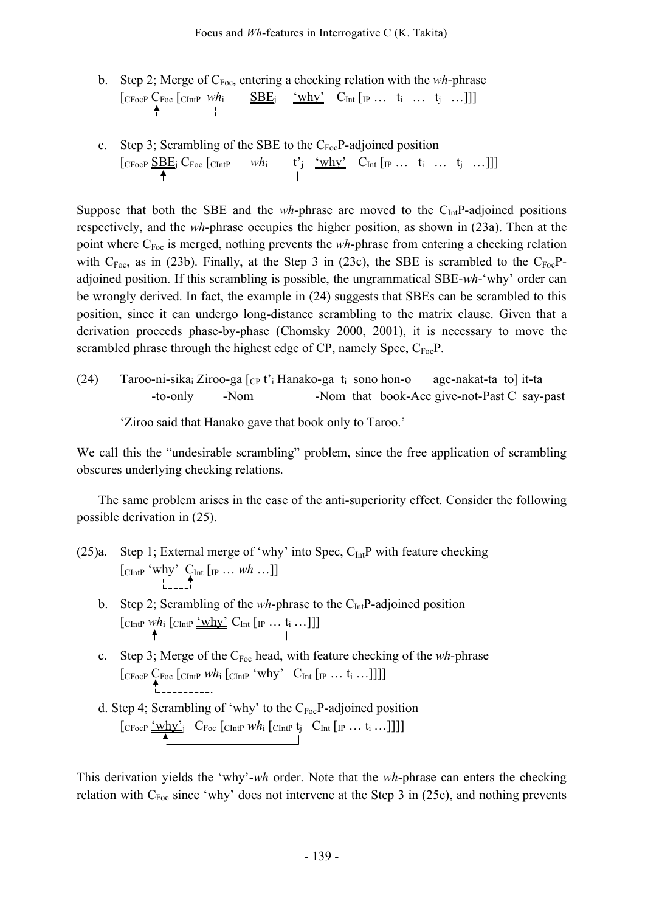- b. Step 2; Merge of  $C_{\text{Foc}}$ , entering a checking relation with the *wh*-phrase  $[\text{CFocP CFoc}$   $[\text{CIntP Wh_i \t \leq \underline{SBE_i} \ \text{`why'} C_{Int} [\text{IP ... } t_i \dots t_j \dots]]]$  $\uparrow$
- c. Step 3; Scrambling of the SBE to the  $C_{Foc}P$ -adjoined position  $\begin{bmatrix} \text{CFocP} & \underline{\bf SBE}_j & \text{CFoc} & \text{CIntP} & \text{Wh}_i & \mathbf{t}'_j & \underline{`why'} & \text{CInt} & \text{[IP} & \dots & \mathbf{t}_i & \dots & \mathbf{t}_j & \dots \end{bmatrix}$

Suppose that both the SBE and the *wh*-phrase are moved to the  $C<sub>Int</sub>P$ -adjoined positions respectively, and the *wh*-phrase occupies the higher position, as shown in (23a). Then at the point where C<sub>Foc</sub> is merged, nothing prevents the *wh*-phrase from entering a checking relation with  $C_{\text{Foc}}$ , as in (23b). Finally, at the Step 3 in (23c), the SBE is scrambled to the  $C_{\text{Foc}}P$ adjoined position. If this scrambling is possible, the ungrammatical SBE-*wh*-'why' order can be wrongly derived. In fact, the example in (24) suggests that SBEs can be scrambled to this position, since it can undergo long-distance scrambling to the matrix clause. Given that a derivation proceeds phase-by-phase (Chomsky 2000, 2001), it is necessary to move the scrambled phrase through the highest edge of  $CP$ , namely Spec,  $C_{Foc}P$ .

(24) Taroo-ni-sika<sub>i</sub> Ziroo-ga  $\lceil_{CP} t \rceil$  Hanako-ga  $t_i$  sono hon-o age-nakat-ta to] it-ta -to-only -Nom -Nom that book-Acc give-not-Past C say-past

'Ziroo said that Hanako gave that book only to Taroo.'

We call this the "undesirable scrambling" problem, since the free application of scrambling obscures underlying checking relations.

The same problem arises in the case of the anti-superiority effect. Consider the following possible derivation in (25).

- (25)a. Step 1; External merge of 'why' into Spec,  $C_{Int}P$  with feature checking  $\left[\text{CIntP} \frac{\text{`why'}}{\text{!}} \bigoplus_{k=-\infty}^{\infty} \text{Int} \left[\text{IP} \dots \text{Wh} \dots \right] \right]$ 
	- b. Step 2; Scrambling of the *wh*-phrase to the C<sub>Int</sub>P-adjoined position  $\left[\text{ChtP } \frac{\text{why}^2}{\text{Cht}} \left[ \text{IP } \ldots \text{t}_i \ldots \text{]} \right] \right]$
	- c. Step 3; Merge of the C<sub>Foc</sub> head, with feature checking of the *wh*-phrase  $\left[\text{CFocP }\underset{L_{\text{2}}\longrightarrow\text{C}}{\text{CFoc}}\left[\text{CIntP }\overset{\text{L}}{\text{Whi}}\left[\text{CIntP }\overset{\text{L}}{\longrightarrow}\text{CInt}\left[\text{IP }\dots \text{I}_{i} \dots \right]\right]\right]\right]$
	- d. Step 4; Scrambling of 'why' to the  $C_{\text{Foc}}P$ -adjoined position  $\begin{bmatrix} \text{CFocP } \frac{\text{'why'}}{\text{?}} & \text{CFoc } \text{[ChtP } wh_i \text{[ChtP } t_j \text{ } & \text{CInt } \text{[IP } \dots \text{ } t_i \dots ] \text{] } \end{bmatrix}$

This derivation yields the 'why'-*wh* order. Note that the *wh*-phrase can enters the checking relation with  $C_{Foc}$  since 'why' does not intervene at the Step 3 in (25c), and nothing prevents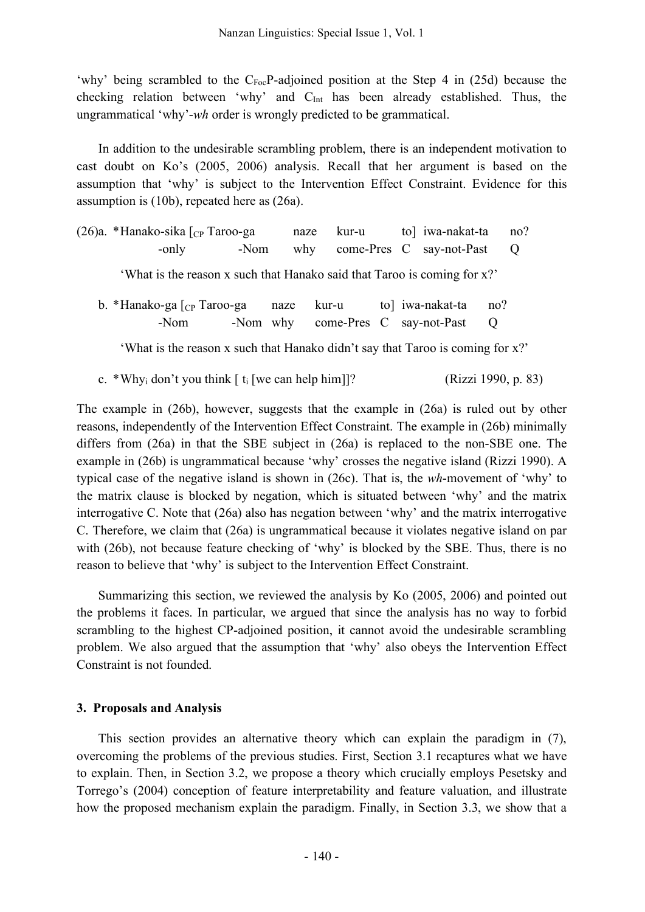'why' being scrambled to the  $C_{\text{Foc}}$ P-adjoined position at the Step 4 in (25d) because the checking relation between 'why' and C<sub>Int</sub> has been already established. Thus, the ungrammatical 'why'-*wh* order is wrongly predicted to be grammatical.

In addition to the undesirable scrambling problem, there is an independent motivation to cast doubt on Ko's (2005, 2006) analysis. Recall that her argument is based on the assumption that 'why' is subject to the Intervention Effect Constraint. Evidence for this assumption is (10b), repeated here as (26a).

|                                                                          | (26)a. *Hanako-sika $\lceil_{CP}$ Taroo-ga                                     |      | naze | kur-u                             |  |  | to] iwa-nakat-ta         |                | no?     |  |
|--------------------------------------------------------------------------|--------------------------------------------------------------------------------|------|------|-----------------------------------|--|--|--------------------------|----------------|---------|--|
|                                                                          | -only                                                                          | -Nom | why  |                                   |  |  | come-Pres C say-not-Past |                | $\circ$ |  |
| 'What is the reason x such that Hanako said that Taroo is coming for x?' |                                                                                |      |      |                                   |  |  |                          |                |         |  |
|                                                                          | b. *Hanako-ga $\lceil_{CP}$ Taroo-ga                                           |      | naze | kur-u                             |  |  | to iwa-nakat-ta          | no?            |         |  |
|                                                                          | -Nom                                                                           |      |      | -Nom why come-Pres C say-not-Past |  |  |                          | $\overline{O}$ |         |  |
|                                                                          | 'What is the reason x such that Hanako didn't say that Taroo is coming for x?' |      |      |                                   |  |  |                          |                |         |  |

c. \*Why<sub>i</sub> don't you think  $\lceil t_i \rceil$  we can help him]]? (Rizzi 1990, p. 83)

The example in (26b), however, suggests that the example in (26a) is ruled out by other reasons, independently of the Intervention Effect Constraint. The example in (26b) minimally differs from (26a) in that the SBE subject in (26a) is replaced to the non-SBE one. The example in (26b) is ungrammatical because 'why' crosses the negative island (Rizzi 1990). A typical case of the negative island is shown in (26c). That is, the *wh*-movement of 'why' to the matrix clause is blocked by negation, which is situated between 'why' and the matrix interrogative C. Note that (26a) also has negation between 'why' and the matrix interrogative C. Therefore, we claim that (26a) is ungrammatical because it violates negative island on par with (26b), not because feature checking of 'why' is blocked by the SBE. Thus, there is no reason to believe that 'why' is subject to the Intervention Effect Constraint.

Summarizing this section, we reviewed the analysis by Ko (2005, 2006) and pointed out the problems it faces. In particular, we argued that since the analysis has no way to forbid scrambling to the highest CP-adjoined position, it cannot avoid the undesirable scrambling problem. We also argued that the assumption that 'why' also obeys the Intervention Effect Constraint is not founded.

## **3. Proposals and Analysis**

This section provides an alternative theory which can explain the paradigm in (7), overcoming the problems of the previous studies. First, Section 3.1 recaptures what we have to explain. Then, in Section 3.2, we propose a theory which crucially employs Pesetsky and Torrego's (2004) conception of feature interpretability and feature valuation, and illustrate how the proposed mechanism explain the paradigm. Finally, in Section 3.3, we show that a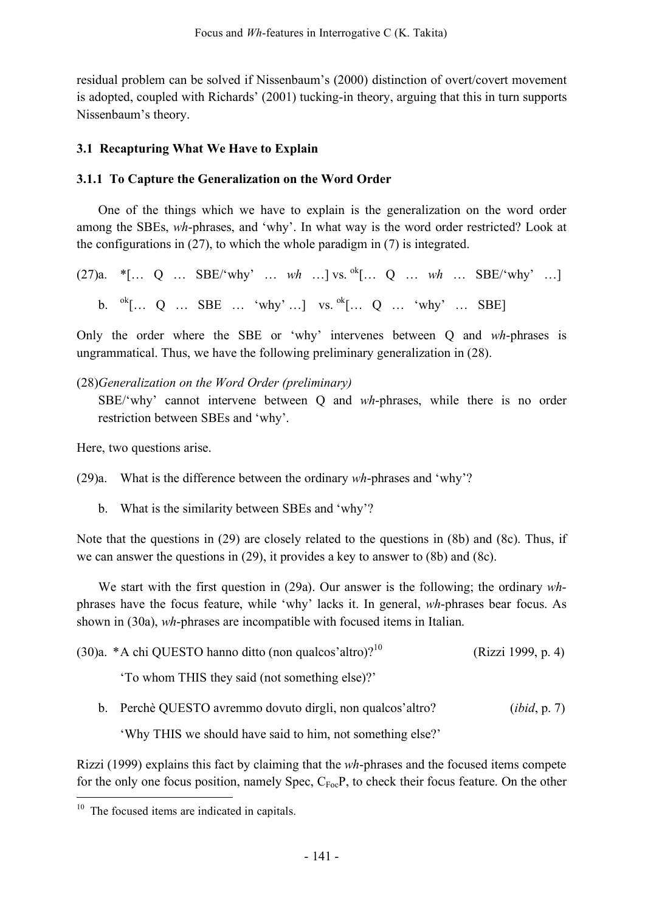residual problem can be solved if Nissenbaum's (2000) distinction of overt/covert movement is adopted, coupled with Richards' (2001) tucking-in theory, arguing that this in turn supports Nissenbaum's theory.

# **3.1 Recapturing What We Have to Explain**

# **3.1.1 To Capture the Generalization on the Word Order**

One of the things which we have to explain is the generalization on the word order among the SBEs, *wh*-phrases, and 'why'. In what way is the word order restricted? Look at the configurations in (27), to which the whole paradigm in (7) is integrated.

 $(27)a.$  \*[... Q ... SBE/'why' ... wh ...] vs. <sup>ok</sup>[... Q ... wh ... SBE/'why' ...] b. <sup>ok</sup>[... Q ... SBE ... 'why' ...] vs. <sup>ok</sup>[... Q ... 'why' ... SBE]

Only the order where the SBE or 'why' intervenes between Q and *wh*-phrases is ungrammatical. Thus, we have the following preliminary generalization in (28).

## (28)*Generalization on the Word Order (preliminary)*

SBE/'why' cannot intervene between Q and *wh*-phrases, while there is no order restriction between SBEs and 'why'.

Here, two questions arise.

(29)a. What is the difference between the ordinary *wh*-phrases and 'why'?

b. What is the similarity between SBEs and 'why'?

Note that the questions in (29) are closely related to the questions in (8b) and (8c). Thus, if we can answer the questions in (29), it provides a key to answer to (8b) and (8c).

We start with the first question in (29a). Our answer is the following; the ordinary *wh*phrases have the focus feature, while 'why' lacks it. In general, *wh*-phrases bear focus. As shown in (30a), *wh*-phrases are incompatible with focused items in Italian.

|  | $(30)a.$ *A chi QUESTO hanno ditto (non qualcos'altro)? <sup>10</sup> | (Rizzi 1999, p. 4) |
|--|-----------------------------------------------------------------------|--------------------|
|--|-----------------------------------------------------------------------|--------------------|

'To whom THIS they said (not something else)?'

b. Perchè QUESTO avremmo dovuto dirgli, non qualcos'altro? (*ibid*, p. 7)

'Why THIS we should have said to him, not something else?'

Rizzi (1999) explains this fact by claiming that the *wh*-phrases and the focused items compete for the only one focus position, namely Spec,  $C_{\text{Foc}}P$ , to check their focus feature. On the other

<sup>&</sup>lt;sup>10</sup> The focused items are indicated in capitals.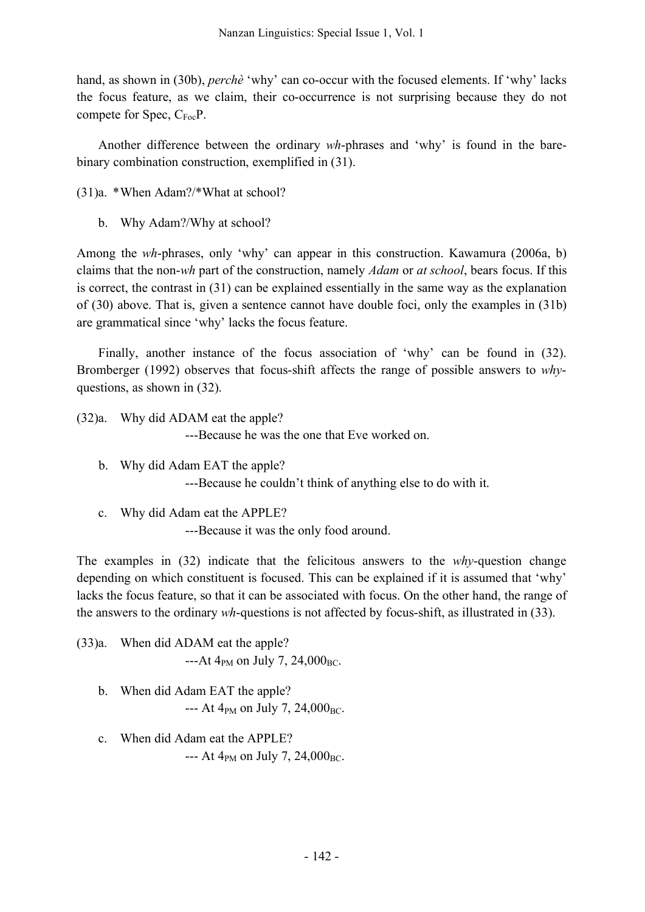hand, as shown in (30b), *perchè* 'why' can co-occur with the focused elements. If 'why' lacks the focus feature, as we claim, their co-occurrence is not surprising because they do not compete for Spec,  $C_{\text{Foc}}P$ .

Another difference between the ordinary *wh*-phrases and 'why' is found in the barebinary combination construction, exemplified in (31).

- (31)a. \*When Adam?/\*What at school?
	- b. Why Adam?/Why at school?

Among the *wh*-phrases, only 'why' can appear in this construction. Kawamura (2006a, b) claims that the non-*wh* part of the construction, namely *Adam* or *at school*, bears focus. If this is correct, the contrast in (31) can be explained essentially in the same way as the explanation of (30) above. That is, given a sentence cannot have double foci, only the examples in (31b) are grammatical since 'why' lacks the focus feature.

Finally, another instance of the focus association of 'why' can be found in (32). Bromberger (1992) observes that focus-shift affects the range of possible answers to *why*questions, as shown in (32).

(32)a. Why did ADAM eat the apple? ---Because he was the one that Eve worked on.

- b. Why did Adam EAT the apple? ---Because he couldn't think of anything else to do with it.
- c. Why did Adam eat the APPLE? ---Because it was the only food around.

The examples in (32) indicate that the felicitous answers to the *why*-question change depending on which constituent is focused. This can be explained if it is assumed that 'why' lacks the focus feature, so that it can be associated with focus. On the other hand, the range of the answers to the ordinary *wh*-questions is not affected by focus-shift, as illustrated in (33).

(33)a. When did ADAM eat the apple?  $-4$ t 4<sub>PM</sub> on July 7, 24,000<sub>BC</sub>.

- b. When did Adam EAT the apple?  $- -$  At 4<sub>PM</sub> on July 7, 24,000<sub>BC</sub>.
- c. When did Adam eat the APPLE? --- At  $4_{PM}$  on July 7, 24,000<sub>BC</sub>.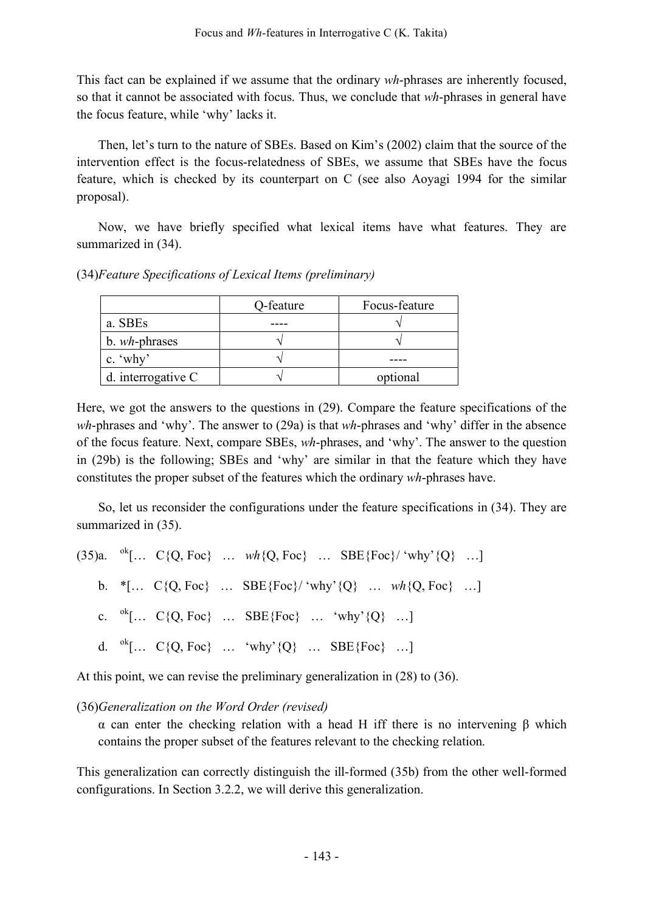This fact can be explained if we assume that the ordinary *wh*-phrases are inherently focused, so that it cannot be associated with focus. Thus, we conclude that *wh*-phrases in general have the focus feature, while 'why' lacks it.

Then, let's turn to the nature of SBEs. Based on Kim's (2002) claim that the source of the intervention effect is the focus-relatedness of SBEs, we assume that SBEs have the focus feature, which is checked by its counterpart on C (see also Aoyagi 1994 for the similar proposal).

Now, we have briefly specified what lexical items have what features. They are summarized in (34).

(34)*Feature Specifications of Lexical Items (preliminary)*

|                       | Q-feature | Focus-feature |
|-----------------------|-----------|---------------|
| a. SBEs               |           |               |
| b. <i>wh</i> -phrases |           |               |
| c. $\omega$           |           |               |
| d. interrogative C    |           | optional      |

Here, we got the answers to the questions in (29). Compare the feature specifications of the *wh*-phrases and 'why'. The answer to (29a) is that *wh*-phrases and 'why' differ in the absence of the focus feature. Next, compare SBEs, *wh*-phrases, and 'why'. The answer to the question in (29b) is the following; SBEs and 'why' are similar in that the feature which they have constitutes the proper subset of the features which the ordinary *wh*-phrases have.

So, let us reconsider the configurations under the feature specifications in (34). They are summarized in (35).

|  |  | (35)a. ${}^{0k}$ [ C{Q, Foc} $wh$ {Q, Foc}  SBE{Foc}/'why'{Q} ] |  |
|--|--|-----------------------------------------------------------------|--|
|  |  | b. *[ C{Q, Foc}  SBE{Foc}/ 'why' {Q} $wh$ {Q, Foc} ]            |  |
|  |  | c. ${}^{0k}$ [ C{Q, Foc}  SBE{Foc}  'why'{Q} ]                  |  |
|  |  | d. $^{0k}$ [ C{Q, Foc}  'why'{Q}  SBE{Foc} ]                    |  |

At this point, we can revise the preliminary generalization in (28) to (36).

(36)*Generalization on the Word Order (revised)*

α can enter the checking relation with a head H iff there is no intervening β which contains the proper subset of the features relevant to the checking relation.

This generalization can correctly distinguish the ill-formed (35b) from the other well-formed configurations. In Section 3.2.2, we will derive this generalization.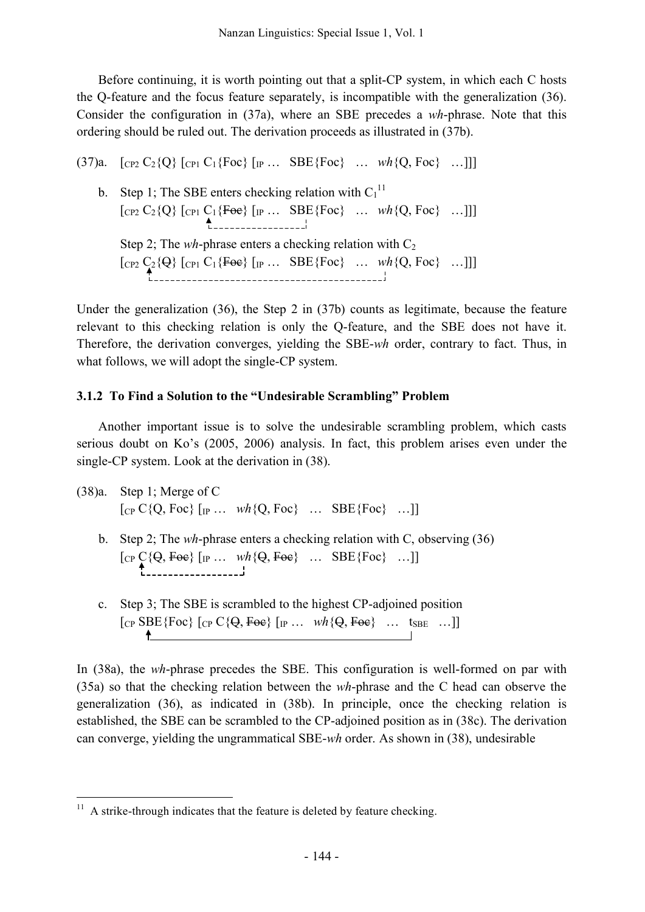Before continuing, it is worth pointing out that a split-CP system, in which each C hosts the Q-feature and the focus feature separately, is incompatible with the generalization (36). Consider the configuration in (37a), where an SBE precedes a *wh*-phrase. Note that this ordering should be ruled out. The derivation proceeds as illustrated in (37b).

(37)a.  $[CP_2 C_2 \{Q\} [CP_1 C_1 \{Foc\} [CP_1 \dots \text{SBE} \{Foc\} \dots \text{wh} \{Q, Foc\} \dots]]]$ b. Step 1; The SBE enters checking relation with  $C_1^{11}$  $[CP_2 C_2 \{Q\} [CP_1 C_1 \{Foe\} [IP ... SBE \{Foc\} ... wh \{Q, Foc\} ...]]]$ Step 2; The *wh*-phrase enters a checking relation with  $C_2$ [CP2 C2{Q} [CP1 C1{Foc} [IP … SBE{Foc} … *wh*{Q, Foc} …]]]

Under the generalization (36), the Step 2 in (37b) counts as legitimate, because the feature relevant to this checking relation is only the Q-feature, and the SBE does not have it. Therefore, the derivation converges, yielding the SBE-*wh* order, contrary to fact. Thus, in what follows, we will adopt the single-CP system.

## **3.1.2 To Find a Solution to the "Undesirable Scrambling" Problem**

Another important issue is to solve the undesirable scrambling problem, which casts serious doubt on Ko's (2005, 2006) analysis. In fact, this problem arises even under the single-CP system. Look at the derivation in (38).

(38)a. Step 1; Merge of C  $[CP C {Q, Foc} [IP ... wh {Q, Foc} ... SBE {Foc} ... ]]$ b. Step 2; The *wh*-phrase enters a checking relation with C, observing (36)  $[\text{CP } C \{Q, Foe\} \text{ [IP ... } wh \{Q, Foe\} \text{ ... } SBE \{Foc\} \text{ ...}]]$ 

c. Step 3; The SBE is scrambled to the highest CP-adjoined position  $[CP \text{SBE} \{ Foc \} \ [CP \text{C} \{ Q, Foc \} \ [IP \dots \ \text{wh} \{ Q, Foc \} \ \dots \ \text{ts} \text{Be} \ \dots]]$ 

In (38a), the *wh*-phrase precedes the SBE. This configuration is well-formed on par with (35a) so that the checking relation between the *wh*-phrase and the C head can observe the generalization (36), as indicated in (38b). In principle, once the checking relation is established, the SBE can be scrambled to the CP-adjoined position as in (38c). The derivation can converge, yielding the ungrammatical SBE-*wh* order. As shown in (38), undesirable

 $11$  A strike-through indicates that the feature is deleted by feature checking.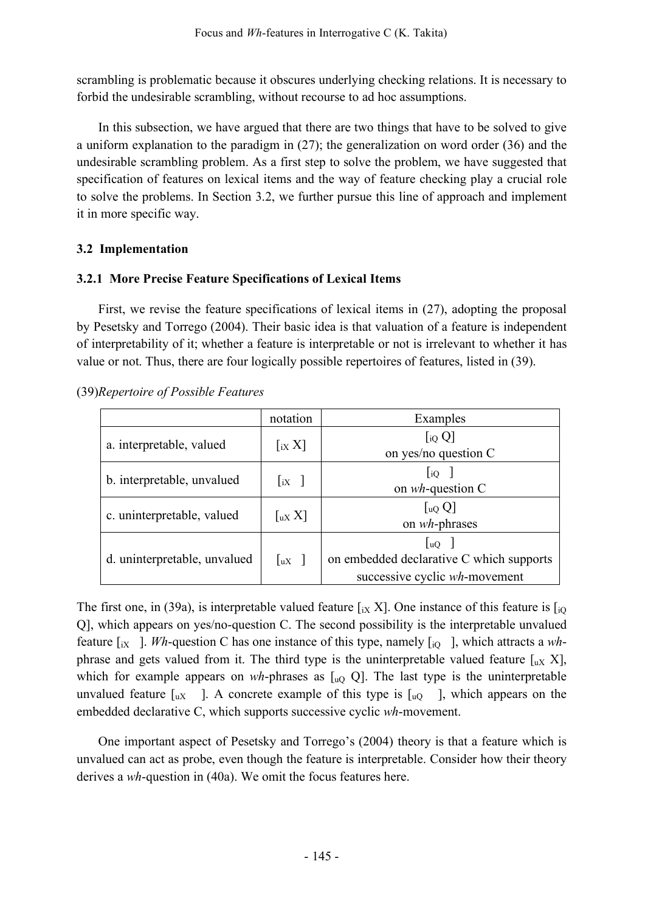scrambling is problematic because it obscures underlying checking relations. It is necessary to forbid the undesirable scrambling, without recourse to ad hoc assumptions.

In this subsection, we have argued that there are two things that have to be solved to give a uniform explanation to the paradigm in (27); the generalization on word order (36) and the undesirable scrambling problem. As a first step to solve the problem, we have suggested that specification of features on lexical items and the way of feature checking play a crucial role to solve the problems. In Section 3.2, we further pursue this line of approach and implement it in more specific way.

## **3.2 Implementation**

## **3.2.1 More Precise Feature Specifications of Lexical Items**

First, we revise the feature specifications of lexical items in (27), adopting the proposal by Pesetsky and Torrego (2004). Their basic idea is that valuation of a feature is independent of interpretability of it; whether a feature is interpretable or not is irrelevant to whether it has value or not. Thus, there are four logically possible repertoires of features, listed in (39).

## (39)*Repertoire of Possible Features*

|                              | notation                                                  | Examples                                                                                                        |  |  |  |
|------------------------------|-----------------------------------------------------------|-----------------------------------------------------------------------------------------------------------------|--|--|--|
| a. interpretable, valued     | $\left[\begin{smallmatrix}ix & X\end{smallmatrix}\right]$ | $[$ iq Q]<br>on yes/no question C                                                                               |  |  |  |
| b. interpretable, unvalued   | $\lfloor iX \rfloor$                                      | $\log$<br>on $wh$ -question C                                                                                   |  |  |  |
| c. uninterpretable, valued   | $\lceil u \times X \rceil$                                | $\left[\begin{smallmatrix}uQ\end{smallmatrix}\right]$<br>on wh-phrases                                          |  |  |  |
| d. uninterpretable, unvalued | $\lfloor uX \rfloor$                                      | $\begin{bmatrix} uQ \end{bmatrix}$<br>on embedded declarative C which supports<br>successive cyclic wh-movement |  |  |  |

The first one, in (39a), is interpretable valued feature  $\left[\frac{1}{1}X\right]X$ . One instance of this feature is  $\left[\frac{1}{10}\right]$ Q], which appears on yes/no-question C. The second possibility is the interpretable unvalued feature  $\begin{bmatrix} iX \end{bmatrix}$ . *Wh*-question C has one instance of this type, namely  $\begin{bmatrix} iQ \end{bmatrix}$ , which attracts a *wh*phrase and gets valued from it. The third type is the uninterpretable valued feature  $\lceil u \times X \rceil$ , which for example appears on  $wh$ -phrases as  $[u, Q]$ . The last type is the uninterpretable unvalued feature  $\lceil u \times \mathbf{R} \rceil$ . A concrete example of this type is  $\lceil u \cdot \mathbf{R} \rceil$ , which appears on the embedded declarative C, which supports successive cyclic *wh*-movement.

One important aspect of Pesetsky and Torrego's (2004) theory is that a feature which is unvalued can act as probe, even though the feature is interpretable. Consider how their theory derives a *wh*-question in (40a). We omit the focus features here.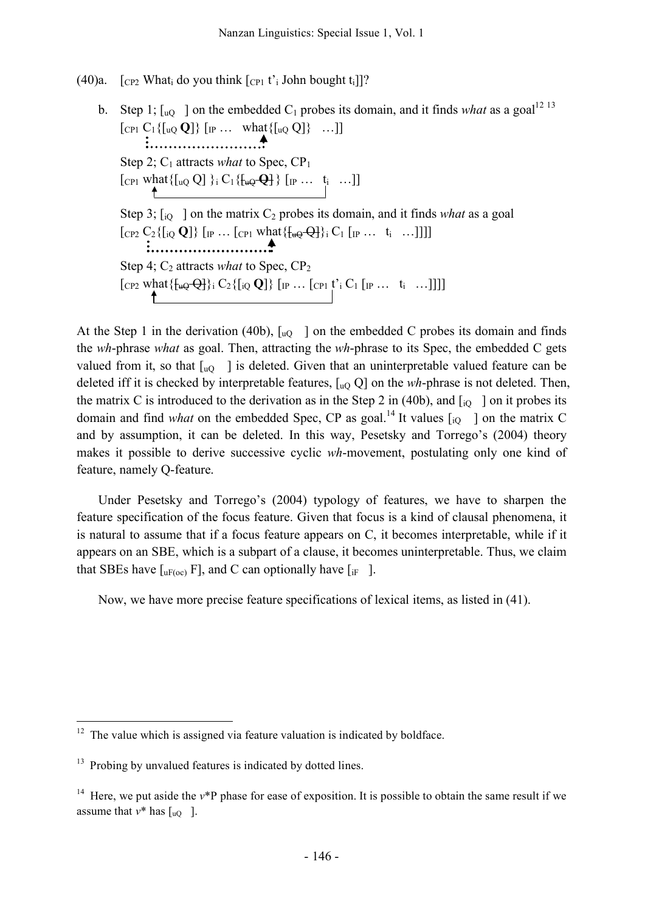## (40)a.  $[\text{CP2}$  What do you think  $[\text{CP1}$  t'<sub>i</sub> John bought t<sub>i</sub>]]?

```
b. Step 1; \lbrack u_Q \rbrack on the embedded C<sub>1</sub> probes its domain, and it finds what as a goal<sup>12 13</sup>
[CP_1 C_1 \{ [u_Q \mathbf{Q}] \} [IP \dots \text{ what } \{ [u_Q \mathbf{Q}] \} \dots ]]Step 2; C_1 attracts what to Spec, CP_1[CP1 what{[uQ Q] }i C1{[uQ Q] } [IP … ti …]]
 Step 3; [i_Q] on the matrix C_2 probes its domain, and it finds what as a goal
 [\text{CP2 } C_2 \{[\text{io } \mathbf{Q}]\} [\text{IP } \dots [\text{CP1 } \text{What} \{\text{H}_{\theta} \Theta \Theta \} \} \text{if } C_1 \text{I}_{\text{IP }} \dots \text{if } \dots ]]]]Step 4; C<sub>2</sub> attracts what to Spec, CP<sub>2</sub>
 [CP2 \text{ what } \{\frac{1}{2} \cdot \frac{1}{2} \} \cdot C_2 \{[i \cdot Q] \} \cdot [IP \dots \cdot [CP1 \cdot t' \cdot C_1 \cdot [IP \dots \cdot t_i \dots]]]]
```
At the Step 1 in the derivation (40b),  $\lbrack uQ \rbrack$  on the embedded C probes its domain and finds the *wh*-phrase *what* as goal. Then, attracting the *wh*-phrase to its Spec, the embedded C gets valued from it, so that  $\lceil u_0 \rceil$  is deleted. Given that an uninterpretable valued feature can be deleted iff it is checked by interpretable features, [uQ Q] on the *wh*-phrase is not deleted. Then, the matrix C is introduced to the derivation as in the Step 2 in (40b), and  $\begin{bmatrix} i_0 \\ i_0 \end{bmatrix}$  on it probes its domain and find *what* on the embedded Spec, CP as goal.<sup>14</sup> It values  $\begin{bmatrix} i_Q \end{bmatrix}$  on the matrix C and by assumption, it can be deleted. In this way, Pesetsky and Torrego's (2004) theory makes it possible to derive successive cyclic *wh*-movement, postulating only one kind of feature, namely Q-feature.

Under Pesetsky and Torrego's (2004) typology of features, we have to sharpen the feature specification of the focus feature. Given that focus is a kind of clausal phenomena, it is natural to assume that if a focus feature appears on C, it becomes interpretable, while if it appears on an SBE, which is a subpart of a clause, it becomes uninterpretable. Thus, we claim that SBEs have  $\lceil_{\text{uF(oc)}} \text{F} \rceil$ , and C can optionally have  $\lceil_{\text{if}} \rceil$ .

Now, we have more precise feature specifications of lexical items, as listed in (41).

 $12$  The value which is assigned via feature valuation is indicated by boldface.

<sup>&</sup>lt;sup>13</sup> Probing by unvalued features is indicated by dotted lines.

<sup>&</sup>lt;sup>14</sup> Here, we put aside the  $v^*P$  phase for ease of exposition. It is possible to obtain the same result if we assume that  $v^*$  has  $\lceil u \cdot \rho \rceil$ .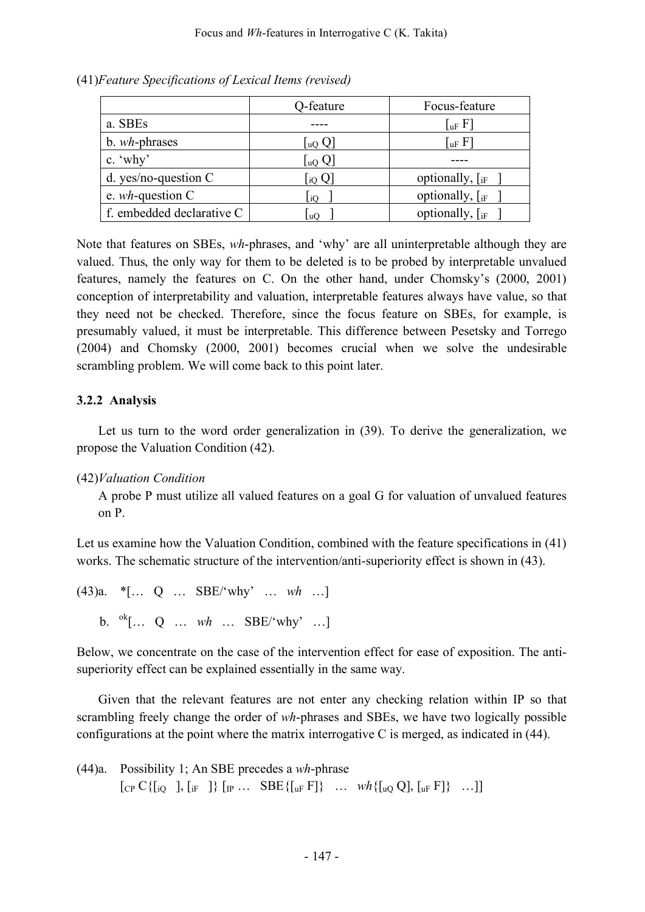|                           | Q-feature                        | Focus-feature           |
|---------------------------|----------------------------------|-------------------------|
| a. SBEs                   |                                  | $\lceil$ uF $F \rceil$  |
| b. wh-phrases             | $\lfloor u Q \rfloor$            | $\lceil$ uF $\rm F$ ]   |
| c. $\omega$               | $\lfloor$ uQ $\mathrm{Q}\rfloor$ |                         |
| d. yes/no-question $C$    | $\rm{I_{i0}}$ Q                  | optionally, $\int_{iF}$ |
| e. $wh$ -question C       | iO                               | optionally, $\int_{iF}$ |
| f. embedded declarative C | $ uO\rangle$                     | optionally, $\int_{iF}$ |

(41)*Feature Specifications of Lexical Items (revised)*

Note that features on SBEs, *wh*-phrases, and 'why' are all uninterpretable although they are valued. Thus, the only way for them to be deleted is to be probed by interpretable unvalued features, namely the features on C. On the other hand, under Chomsky's (2000, 2001) conception of interpretability and valuation, interpretable features always have value, so that they need not be checked. Therefore, since the focus feature on SBEs, for example, is presumably valued, it must be interpretable. This difference between Pesetsky and Torrego (2004) and Chomsky (2000, 2001) becomes crucial when we solve the undesirable scrambling problem. We will come back to this point later.

## **3.2.2 Analysis**

Let us turn to the word order generalization in (39). To derive the generalization, we propose the Valuation Condition (42).

(42)*Valuation Condition*

A probe P must utilize all valued features on a goal G for valuation of unvalued features on P.

Let us examine how the Valuation Condition, combined with the feature specifications in (41) works. The schematic structure of the intervention/anti-superiority effect is shown in (43).

(43)a. \*[… Q … SBE/'why' … *wh* …] b. ok [… Q … *wh* … SBE/'why' …]

Below, we concentrate on the case of the intervention effect for ease of exposition. The antisuperiority effect can be explained essentially in the same way.

Given that the relevant features are not enter any checking relation within IP so that scrambling freely change the order of *wh*-phrases and SBEs, we have two logically possible configurations at the point where the matrix interrogative C is merged, as indicated in (44).

(44)a. Possibility 1; An SBE precedes a *wh*-phrase  $[CP C\{[i] \quad], [i] \quad] \{[P \dots \text{SBE}\{[u] \quad F]\} \quad \dots \quad \text{wh}\{[u] \quad Q], [u] \quad F]\} \quad \dots]$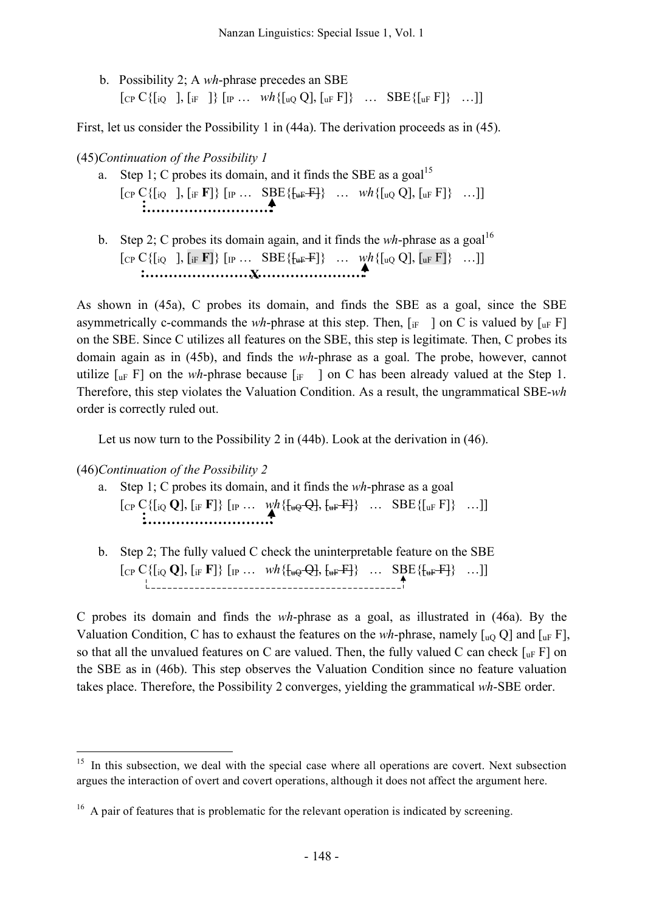b. Possibility 2; A *wh*-phrase precedes an SBE  $[CP C\{[i]Q], [i]F]\} [IP \dots \le 100 \times 100 \times 100 \times 100]$  [uF F]} ... SBE $\{[uF]B]$  ...]

First, let us consider the Possibility 1 in (44a). The derivation proceeds as in (45).

#### (45)*Continuation of the Possibility 1*

- a. Step 1; C probes its domain, and it finds the SBE as a goal<sup>15</sup>  $[CP C\{[i] \quad], [i] \quad \mathbf{F}]\} [IP \dots \text{SBE}\{\{\text{uF}\}_{\text{uF}}\} \dots \text{wh}\{[u] \quad Q], [u] \quad \text{F}]\} \dots]$
- b. Step 2; C probes its domain again, and it finds the *wh*-phrase as a goal<sup>16</sup>  $[{\rm CP\,}C\{[i{\rm Q}\ \ ] , [\rm iF\,}F]\}\; [{\rm IP\,} \dots\; SBE\{[\rm i_{\rm uF}F]\}\; \dots\; \textit{wh}\{[{\rm u}_{\rm Q}\, {\rm Q}], [{\rm u}_{\rm F}\, F]\}\; \dots]]$ **X**

As shown in (45a), C probes its domain, and finds the SBE as a goal, since the SBE asymmetrically c-commands the *wh*-phrase at this step. Then,  $\begin{bmatrix} i_F \end{bmatrix}$  on C is valued by  $\begin{bmatrix} u_F \end{bmatrix}$ on the SBE. Since C utilizes all features on the SBE, this step is legitimate. Then, C probes its domain again as in (45b), and finds the *wh*-phrase as a goal. The probe, however, cannot utilize  $\lceil u_F \rceil$  on the *wh*-phrase because  $\lceil u_F \rceil$  on C has been already valued at the Step 1. Therefore, this step violates the Valuation Condition. As a result, the ungrammatical SBE-*wh* order is correctly ruled out.

Let us now turn to the Possibility 2 in (44b). Look at the derivation in (46).

(46)*Continuation of the Possibility 2*

- a. Step 1; C probes its domain, and it finds the *wh*-phrase as a goal  $[CP C\{[i\mathbb{Q} \mathbf{Q}], [\mathbb{F} \mathbf{F}]\} [IP \dots \mathcal{W}h\{\{\text{tr}\Theta \mathbf{Q}\}, \{\text{tr}\Theta \mathbf{F}\} \dots \text{SBE}\{[\text{tr}\Theta \text{F}]\} \dots ]]$
- b. Step 2; The fully valued C check the uninterpretable feature on the SBE  $[CP C\{[i\varrho \mathbf{Q}], [i\mathbf{F} \mathbf{F}]\} [IP ... \boldsymbol{Wh}\{\mathbf{u}\varrho\mathbf{Q}\}, \mathbf{u}\mathbf{F}\} \dots \text{SBE}\{\mathbf{u}\mathbf{F}\}\} ...]]$

C probes its domain and finds the *wh*-phrase as a goal, as illustrated in (46a). By the Valuation Condition, C has to exhaust the features on the *wh*-phrase, namely  $\lceil_{\text{u}^{\text{O}}} Q \rceil$  and  $\lceil_{\text{u}^{\text{F}}} F \rceil$ , so that all the unvalued features on C are valued. Then, the fully valued C can check  $\lceil_{\text{uF}} F \rceil$  on the SBE as in (46b). This step observes the Valuation Condition since no feature valuation takes place. Therefore, the Possibility 2 converges, yielding the grammatical *wh*-SBE order.

 $15$  In this subsection, we deal with the special case where all operations are covert. Next subsection argues the interaction of overt and covert operations, although it does not affect the argument here.

<sup>&</sup>lt;sup>16</sup> A pair of features that is problematic for the relevant operation is indicated by screening.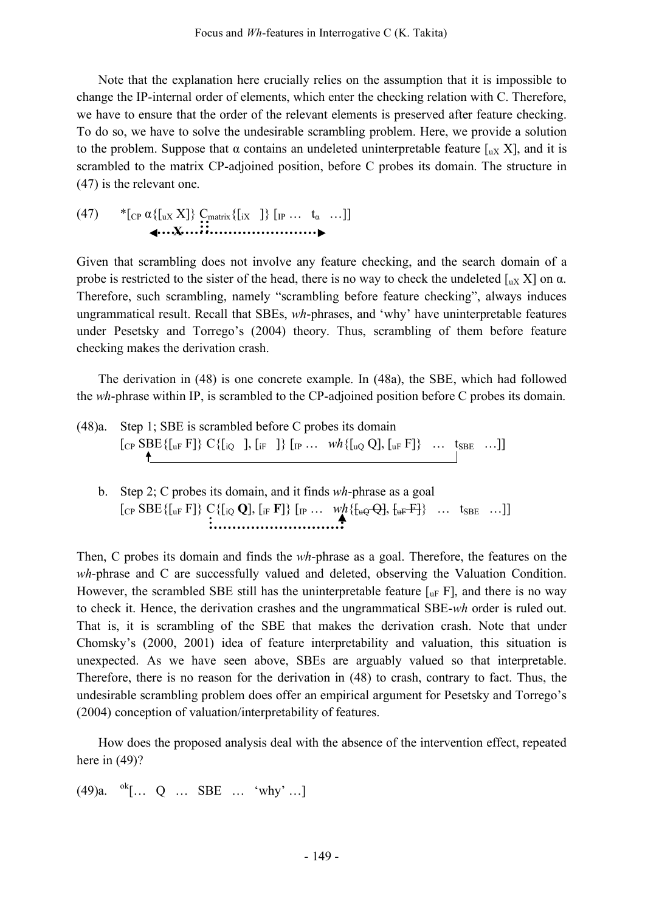Note that the explanation here crucially relies on the assumption that it is impossible to change the IP-internal order of elements, which enter the checking relation with C. Therefore, we have to ensure that the order of the relevant elements is preserved after feature checking. To do so, we have to solve the undesirable scrambling problem. Here, we provide a solution to the problem. Suppose that  $\alpha$  contains an undeleted uninterpretable feature [ux X], and it is scrambled to the matrix CP-adjoined position, before C probes its domain. The structure in (47) is the relevant one.

(47) 
$$
{}^{*}[\text{CP } \alpha \{[\text{uX } X]\} \ C_{\text{matrix}}\{[\text{iX } ]\} [\text{p} ... \text{ t}_{\alpha} ...]]
$$

Given that scrambling does not involve any feature checking, and the search domain of a probe is restricted to the sister of the head, there is no way to check the undeleted  $\int_{u} X$  on  $\alpha$ . Therefore, such scrambling, namely "scrambling before feature checking", always induces ungrammatical result. Recall that SBEs, *wh*-phrases, and 'why' have uninterpretable features under Pesetsky and Torrego's (2004) theory. Thus, scrambling of them before feature checking makes the derivation crash.

The derivation in (48) is one concrete example. In (48a), the SBE, which had followed the *wh*-phrase within IP, is scrambled to the CP-adjoined position before C probes its domain.

- (48)a. Step 1; SBE is scrambled before C probes its domain  $[CP$  SBE{[uF F]} C{[iQ ], [iF ]} [IP ...  $wh$ {[uQ Q], [uF F]} ... t<sub>SBE</sub> ...]]
	- b. Step 2; C probes its domain, and it finds *wh*-phrase as a goal  $[CP \text{ SBE} \{ [u \text{ F}] \} \text{ C} \{ [i \text{ Q}], [i \text{ F}] \} [I \text{ P} ... \text{ W} \{ [u \text{ Q}], [u \text{ F}] \} ... \text{ t}_{\text{SBE}} ... ] ]$

Then, C probes its domain and finds the *wh*-phrase as a goal. Therefore, the features on the *wh*-phrase and C are successfully valued and deleted, observing the Valuation Condition. However, the scrambled SBE still has the uninterpretable feature  $\lceil_{\text{uF}} F \rceil$ , and there is no way to check it. Hence, the derivation crashes and the ungrammatical SBE-*wh* order is ruled out. That is, it is scrambling of the SBE that makes the derivation crash. Note that under Chomsky's (2000, 2001) idea of feature interpretability and valuation, this situation is unexpected. As we have seen above, SBEs are arguably valued so that interpretable. Therefore, there is no reason for the derivation in (48) to crash, contrary to fact. Thus, the undesirable scrambling problem does offer an empirical argument for Pesetsky and Torrego's (2004) conception of valuation/interpretability of features.

How does the proposed analysis deal with the absence of the intervention effect, repeated here in (49)?

 $(49)a.$  <sup>ok</sup>[... Q ... SBE ... 'why' ...]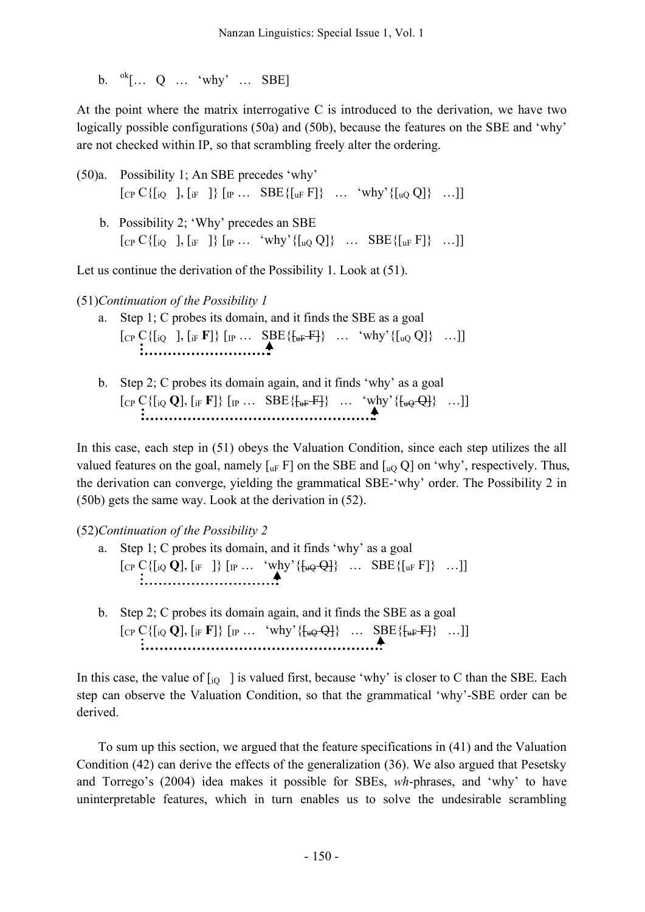b.  $\mathrm{^{ok}}$ [... Q ... 'why' ... SBE]

At the point where the matrix interrogative C is introduced to the derivation, we have two logically possible configurations (50a) and (50b), because the features on the SBE and 'why' are not checked within IP, so that scrambling freely alter the ordering.

- (50)a. Possibility 1; An SBE precedes 'why'  $[CP C\{[io], [if]\} [IP... SBE\{[uF] \} ... 'why'\{[uo Q] \} ...]$ 
	- b. Possibility 2; 'Why' precedes an SBE  $[CP C\{[iQ] \}, [iF] \} [IP ... 'why' \{[uQ] \} ... SBE\{[uF] \} ... ]]$

Let us continue the derivation of the Possibility 1. Look at (51).

(51)*Continuation of the Possibility 1*

- a. Step 1; C probes its domain, and it finds the SBE as a goal  $[CP C\{[i\varrho], [i\mathbf{F}]\} [IP \dots \mathbf{SBE\{\{\mathbf{u}F\}\} \dots \mathbf{w}hy'\{[u\varrho\} \dots]]$
- b. Step 2; C probes its domain again, and it finds 'why' as a goal  $[CP C\{[i\{Q\}, [i]F]F\} [IP ... SBE\{\{\text{uF}\}F\}] ... 'why'\{\{\text{uQ}\}F\} ...]]$

In this case, each step in (51) obeys the Valuation Condition, since each step utilizes the all valued features on the goal, namely  $[\iota_{\text{IF}} F]$  on the SBE and  $[\iota_{\text{IQ}} Q]$  on 'why', respectively. Thus, the derivation can converge, yielding the grammatical SBE-'why' order. The Possibility 2 in (50b) gets the same way. Look at the derivation in (52).

(52)*Continuation of the Possibility 2*

- a. Step 1; C probes its domain, and it finds 'why' as a goal  $[CP C\{[i\{Q\}],[i_{\mathrm{F}}\]\}\ [IP \dots \ {\mathsf{v}hy'}\{\{\mathsf{u}_Q\}\} \dots \ {\rm SBE\{[u_{\mathrm{F}}\}]\} \dots]$
- b. Step 2; C probes its domain again, and it finds the SBE as a goal  $[CP C\{[i\{Q\}, [i]F]F]\} [IP ... "why'\{\{\text{LQ}-Q\}] ... SBE\{\{\text{LF}-H\} ...]]$

In this case, the value of  $\begin{bmatrix} i_Q \end{bmatrix}$  is valued first, because 'why' is closer to C than the SBE. Each step can observe the Valuation Condition, so that the grammatical 'why'-SBE order can be derived.

To sum up this section, we argued that the feature specifications in (41) and the Valuation Condition (42) can derive the effects of the generalization (36). We also argued that Pesetsky and Torrego's (2004) idea makes it possible for SBEs, *wh*-phrases, and 'why' to have uninterpretable features, which in turn enables us to solve the undesirable scrambling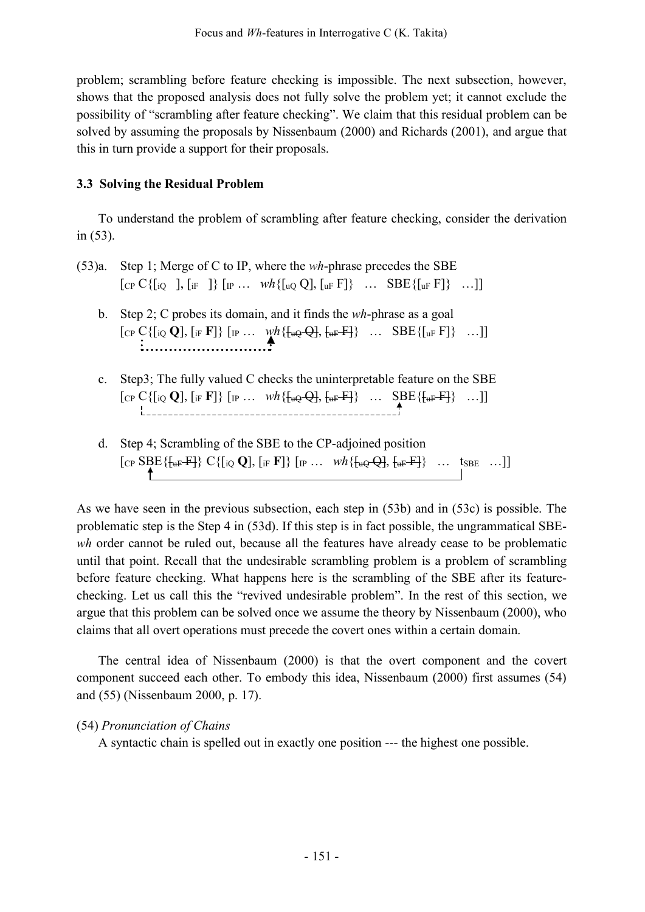problem; scrambling before feature checking is impossible. The next subsection, however, shows that the proposed analysis does not fully solve the problem yet; it cannot exclude the possibility of "scrambling after feature checking". We claim that this residual problem can be solved by assuming the proposals by Nissenbaum (2000) and Richards (2001), and argue that this in turn provide a support for their proposals.

## **3.3 Solving the Residual Problem**

To understand the problem of scrambling after feature checking, consider the derivation in (53).

- (53)a. Step 1; Merge of C to IP, where the *wh*-phrase precedes the SBE  $[\text{CP } C\{[\text{io} \quad], [\text{if} \quad]\}\,[\text{IP} \dots \text{wh}\{[\text{uo} \text{Q}], [\text{u} \text{F} \text{F}]\} \dots \text{SBE}\{[\text{u} \text{F} \text{F}]\} \dots]$ 
	- b. Step 2; C probes its domain, and it finds the *wh*-phrase as a goal  $[CP C\{[i\varrho \mathbf{Q}], [\mathbf{F} \mathbf{F}]\} [IP \dots \mathbf{W}^h\{\mathbf{w} \varrho \mathbf{Q}\}, \mathbf{w}^{\mathbf{F}} \mathbf{W}^{\mathbf{F}} \} \dots \text{SBE}\{[I_{\mathbf{u}^{\mathbf{F}}} \mathbf{F}]\} \dots]$
	- c. Step3; The fully valued C checks the uninterpretable feature on the SBE  $[CP C\{[i\varrho \mathbf{Q}], [i\mathbf{F} \mathbf{F}]\} [IP ... \quad \text{wh}\{\{\text{tu}\varrho \mathbf{Q}\}, \{\text{tu}\mathbf{F} \mathbf{F}\} \quad ... \quad \text{SBE}\{\{\text{tu}\mathbf{F} \mathbf{F}\} \quad ... ]]$
	- d. Step 4; Scrambling of the SBE to the CP-adjoined position  $\begin{bmatrix} \text{Cp} \text{SBE}\{\text{f}_{\text{uF}}\text{-F}\} \text{C}\{[i\text{Q} \text{Q}], [\text{if} \text{F}]\} \text{[IP} \text{...} & \text{wh}\{\text{f}_{\text{uQ}}\text{-Q}], [\text{f}_{\text{uF}}\text{-F}]\} & \text{...} \text{!SBE} & \text{...} \end{bmatrix}$

As we have seen in the previous subsection, each step in (53b) and in (53c) is possible. The problematic step is the Step 4 in (53d). If this step is in fact possible, the ungrammatical SBE*wh* order cannot be ruled out, because all the features have already cease to be problematic until that point. Recall that the undesirable scrambling problem is a problem of scrambling before feature checking. What happens here is the scrambling of the SBE after its featurechecking. Let us call this the "revived undesirable problem". In the rest of this section, we argue that this problem can be solved once we assume the theory by Nissenbaum (2000), who claims that all overt operations must precede the covert ones within a certain domain.

The central idea of Nissenbaum (2000) is that the overt component and the covert component succeed each other. To embody this idea, Nissenbaum (2000) first assumes (54) and (55) (Nissenbaum 2000, p. 17).

# (54) *Pronunciation of Chains*

A syntactic chain is spelled out in exactly one position --- the highest one possible.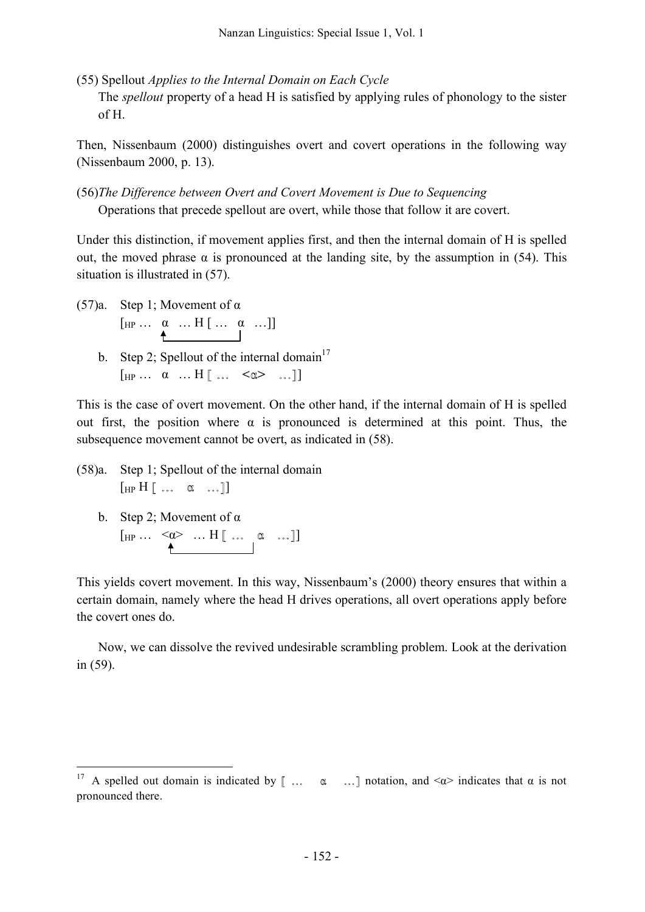(55) Spellout *Applies to the Internal Domain on Each Cycle*

The *spellout* property of a head H is satisfied by applying rules of phonology to the sister of H.

Then, Nissenbaum (2000) distinguishes overt and covert operations in the following way (Nissenbaum 2000, p. 13).

(56)*The Difference between Overt and Covert Movement is Due to Sequencing* Operations that precede spellout are overt, while those that follow it are covert.

Under this distinction, if movement applies first, and then the internal domain of H is spelled out, the moved phrase  $\alpha$  is pronounced at the landing site, by the assumption in (54). This situation is illustrated in (57).

- (57)a. Step 1; Movement of  $\alpha$  $\begin{bmatrix} HP \cdots & \alpha & \cdots H \end{bmatrix} \begin{bmatrix} \ldots & \alpha & \cdots \end{bmatrix}$ 
	- b. Step 2; Spellout of the internal domain<sup>17</sup>  $\begin{bmatrix} H_P \dots & \alpha & \dots & H \end{bmatrix}$  ...  $\prec \alpha$  ... ]

This is the case of overt movement. On the other hand, if the internal domain of H is spelled out first, the position where  $\alpha$  is pronounced is determined at this point. Thus, the subsequence movement cannot be overt, as indicated in (58).

(58)a. Step 1; Spellout of the internal domain  $[\text{HP H} \dots \alpha \dots]$ 

b. Step 2; Movement of  $\alpha$  $\begin{bmatrix} HP \cdots & \langle Q \rangle & \dots & H \end{bmatrix} \begin{bmatrix} \dots & \alpha & \dots \end{bmatrix}$ 

This yields covert movement. In this way, Nissenbaum's (2000) theory ensures that within a certain domain, namely where the head H drives operations, all overt operations apply before the covert ones do.

Now, we can dissolve the revived undesirable scrambling problem. Look at the derivation in (59).

<sup>&</sup>lt;sup>17</sup> A spelled out domain is indicated by [ ...  $\alpha$  ...] notation, and < $\alpha$ > indicates that  $\alpha$  is not pronounced there.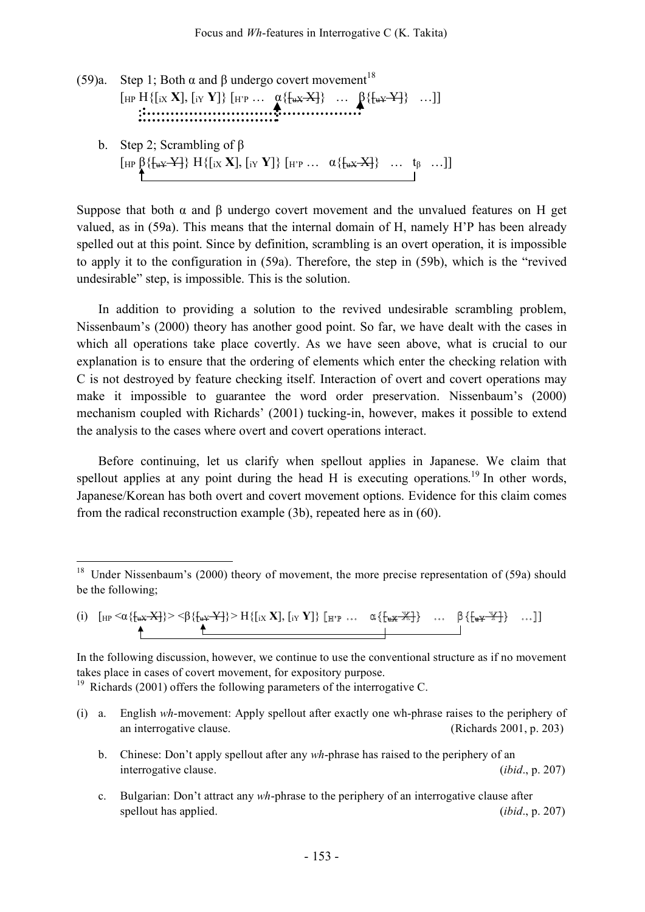| (59)a. | Step 1; Both $\alpha$ and $\beta$ undergo covert movement <sup>18</sup>                                                                                                                                 |
|--------|---------------------------------------------------------------------------------------------------------------------------------------------------------------------------------------------------------|
|        | [HP H{[ix <b>X</b> ], [iy <b>Y</b> ]} [HP $\alpha$ {{ $\alpha$ <b>xX</b> }} $\beta$ {{ $\alpha$ <b>xY</b> }} ]]                                                                                         |
|        |                                                                                                                                                                                                         |
|        | b. Step 2; Scrambling of $\beta$                                                                                                                                                                        |
|        | $[\text{HP } {\beta} \{ {\frac{1}{2} \{ \frac{1}{2} \{ \frac{1}{2} \} \} \} \{ \frac{1}{2} \{ \frac{1}{2} \{ \frac{1}{2} \} \} \} \{ \frac{1}{2} \{ \frac{1}{2} \{ \frac{1}{2} \} \} \dots \} \dots \}$ |

Suppose that both  $\alpha$  and  $\beta$  undergo covert movement and the unvalued features on H get valued, as in (59a). This means that the internal domain of H, namely H'P has been already spelled out at this point. Since by definition, scrambling is an overt operation, it is impossible to apply it to the configuration in (59a). Therefore, the step in (59b), which is the "revived undesirable" step, is impossible. This is the solution.

In addition to providing a solution to the revived undesirable scrambling problem, Nissenbaum's (2000) theory has another good point. So far, we have dealt with the cases in which all operations take place covertly. As we have seen above, what is crucial to our explanation is to ensure that the ordering of elements which enter the checking relation with C is not destroyed by feature checking itself. Interaction of overt and covert operations may make it impossible to guarantee the word order preservation. Nissenbaum's (2000) mechanism coupled with Richards' (2001) tucking-in, however, makes it possible to extend the analysis to the cases where overt and covert operations interact.

Before continuing, let us clarify when spellout applies in Japanese. We claim that spellout applies at any point during the head H is executing operations.<sup>19</sup> In other words, Japanese/Korean has both overt and covert movement options. Evidence for this claim comes from the radical reconstruction example (3b), repeated here as in (60).

$$
(i) \quad [\text{HP} \leq \alpha \{ \text{f}_{uX} \cdot X \} ] > \beta \{ \text{f}_{uY} \cdot Y \} \geq H\{ [\text{ix } X], [\text{ix } Y] \} \quad [\text{H'}\mathfrak{p} \quad \dots \quad \alpha \{ \text{f}_{uX} \cdot X \} \} \quad \dots \quad \beta \{ \text{f}_{uY} \cdot Y \} \quad \dots ] ]
$$

In the following discussion, however, we continue to use the conventional structure as if no movement takes place in cases of covert movement, for expository purpose.

<sup>19</sup> Richards (2001) offers the following parameters of the interrogative C.

- (i) a. English *wh*-movement: Apply spellout after exactly one wh-phrase raises to the periphery of an interrogative clause. (Richards 2001, p. 203)
	- b. Chinese: Don't apply spellout after any *wh*-phrase has raised to the periphery of an interrogative clause. (*ibid*., p. 207)
	- c. Bulgarian: Don't attract any *wh*-phrase to the periphery of an interrogative clause after spellout has applied. (*ibid., p. 207*)

<sup>&</sup>lt;sup>18</sup> Under Nissenbaum's (2000) theory of movement, the more precise representation of (59a) should be the following;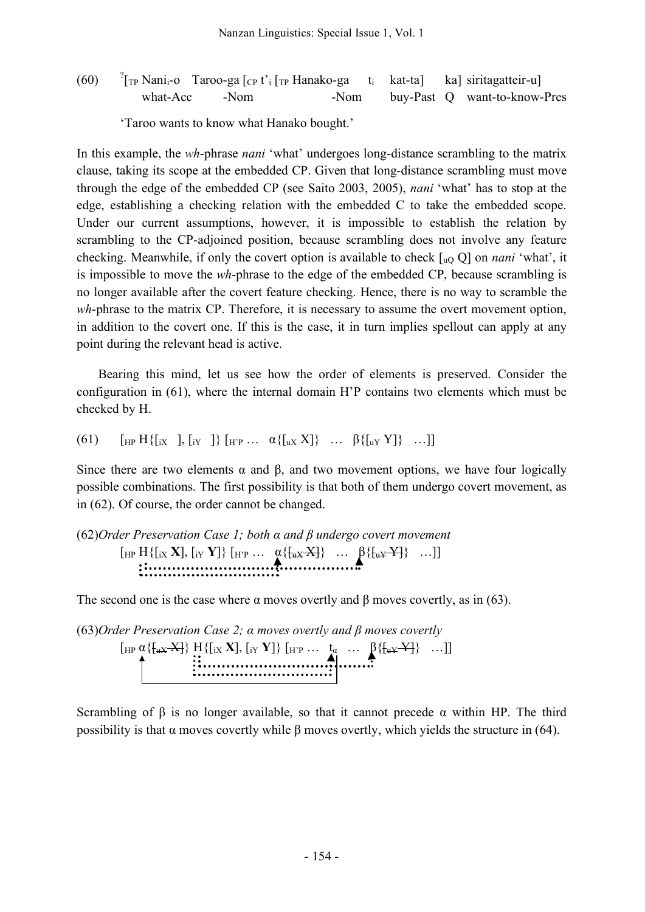$(60)$  $T_{\text{TP}}$  Nani<sub>i</sub>-o Taroo-ga  $\lceil_{\text{CP}} t \rceil$ <sub>i</sub> Hanako-ga t<sub>i</sub> kat-ta] ka siritagatteir-u what-Acc -Nom -Nom buy-Past Q want-to-know-Pres

'Taroo wants to know what Hanako bought.'

In this example, the *wh*-phrase *nani* 'what' undergoes long-distance scrambling to the matrix clause, taking its scope at the embedded CP. Given that long-distance scrambling must move through the edge of the embedded CP (see Saito 2003, 2005), *nani* 'what' has to stop at the edge, establishing a checking relation with the embedded C to take the embedded scope. Under our current assumptions, however, it is impossible to establish the relation by scrambling to the CP-adjoined position, because scrambling does not involve any feature checking. Meanwhile, if only the covert option is available to check [uQ Q] on *nani* 'what', it is impossible to move the *wh*-phrase to the edge of the embedded CP, because scrambling is no longer available after the covert feature checking. Hence, there is no way to scramble the *wh*-phrase to the matrix CP. Therefore, it is necessary to assume the overt movement option, in addition to the covert one. If this is the case, it in turn implies spellout can apply at any point during the relevant head is active.

Bearing this mind, let us see how the order of elements is preserved. Consider the configuration in (61), where the internal domain H'P contains two elements which must be checked by H.

(61) 
$$
[\n\text{HP } H\{[\text{ix } ], [\text{iy } ]\} [\text{HP } ... \text{ } \alpha\{\text{[ux X]}\} \dots \text{ } \beta\{\text{[uv Y]}\} \dots ]]
$$

Since there are two elements  $\alpha$  and  $\beta$ , and two movement options, we have four logically possible combinations. The first possibility is that both of them undergo covert movement, as in (62). Of course, the order cannot be changed.

# (62)*Order Preservation Case 1; both α and β undergo covert movement*  $[\text{HP H}\{[\text{ix X}], [\text{iv Y}]\}\;[\text{HP} \ldots \; \alpha \{\text{[ux X]}\} \; \ldots \; \beta \{\text{[ux Y]}\} \; \ldots]]$

The second one is the case where  $\alpha$  moves overtly and  $\beta$  moves covertly, as in (63).

(63)*Order Preservation Case 2; α moves overtly and β moves covertly*  $\left[\text{HP} \; \alpha \left\{\left[\text{ax } X\right]\right\} \; \text{H}\left\{\left[\text{ax } X\right], \, \left[\text{ay } Y\right]\right\} \; \left[\text{HP} \; \dots \; \text{A} \; \dots \; \beta \left\{\left[\text{ax } Y\right]\right\} \; \dots \right]\right]$ 

Scrambling of  $\beta$  is no longer available, so that it cannot precede  $\alpha$  within HP. The third possibility is that  $\alpha$  moves covertly while  $\beta$  moves overtly, which yields the structure in (64).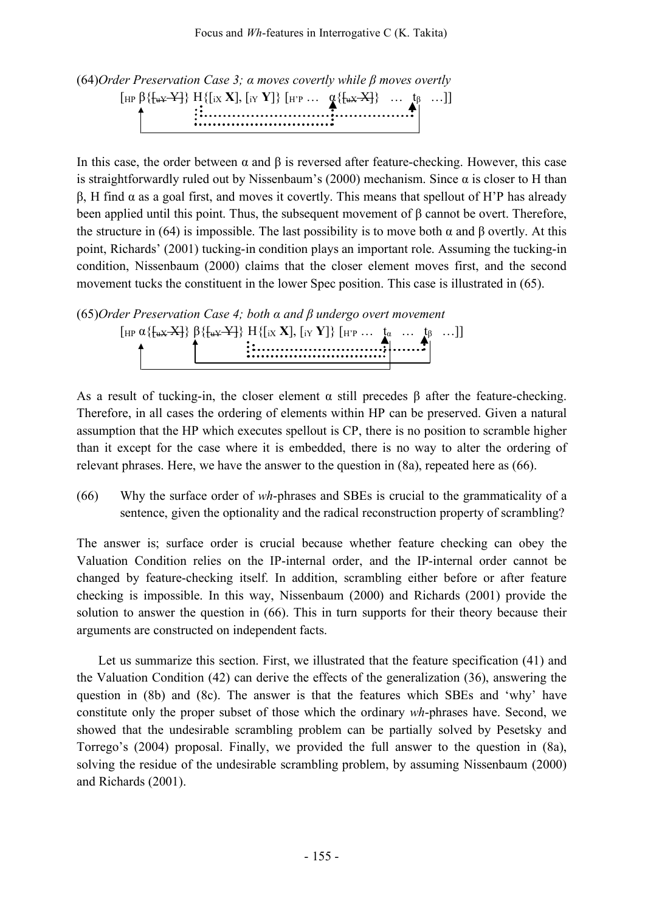

In this case, the order between  $\alpha$  and  $\beta$  is reversed after feature-checking. However, this case is straightforwardly ruled out by Nissenbaum's (2000) mechanism. Since  $\alpha$  is closer to H than β, H find α as a goal first, and moves it covertly. This means that spellout of H'P has already been applied until this point. Thus, the subsequent movement of β cannot be overt. Therefore, the structure in (64) is impossible. The last possibility is to move both  $\alpha$  and  $\beta$  overtly. At this point, Richards' (2001) tucking-in condition plays an important role. Assuming the tucking-in condition, Nissenbaum (2000) claims that the closer element moves first, and the second movement tucks the constituent in the lower Spec position. This case is illustrated in (65).

(65)*Order Preservation Case 4; both α and β undergo overt movement*  $[HP α{f<sub>uX</sub> X}} β{f<sub>uY</sub> X}} β{f<sub>uY</sub> Y}} H{r<sub>uY</sub> X} [iY Y]} [HP ... t<sub>α</sub> ... t<sub>β</sub> ...]]$ 

As a result of tucking-in, the closer element  $\alpha$  still precedes  $\beta$  after the feature-checking. Therefore, in all cases the ordering of elements within HP can be preserved. Given a natural assumption that the HP which executes spellout is CP, there is no position to scramble higher than it except for the case where it is embedded, there is no way to alter the ordering of relevant phrases. Here, we have the answer to the question in (8a), repeated here as (66).

(66) Why the surface order of *wh*-phrases and SBEs is crucial to the grammaticality of a sentence, given the optionality and the radical reconstruction property of scrambling?

The answer is; surface order is crucial because whether feature checking can obey the Valuation Condition relies on the IP-internal order, and the IP-internal order cannot be changed by feature-checking itself. In addition, scrambling either before or after feature checking is impossible. In this way, Nissenbaum (2000) and Richards (2001) provide the solution to answer the question in (66). This in turn supports for their theory because their arguments are constructed on independent facts.

Let us summarize this section. First, we illustrated that the feature specification (41) and the Valuation Condition (42) can derive the effects of the generalization (36), answering the question in (8b) and (8c). The answer is that the features which SBEs and 'why' have constitute only the proper subset of those which the ordinary *wh*-phrases have. Second, we showed that the undesirable scrambling problem can be partially solved by Pesetsky and Torrego's (2004) proposal. Finally, we provided the full answer to the question in (8a), solving the residue of the undesirable scrambling problem, by assuming Nissenbaum (2000) and Richards (2001).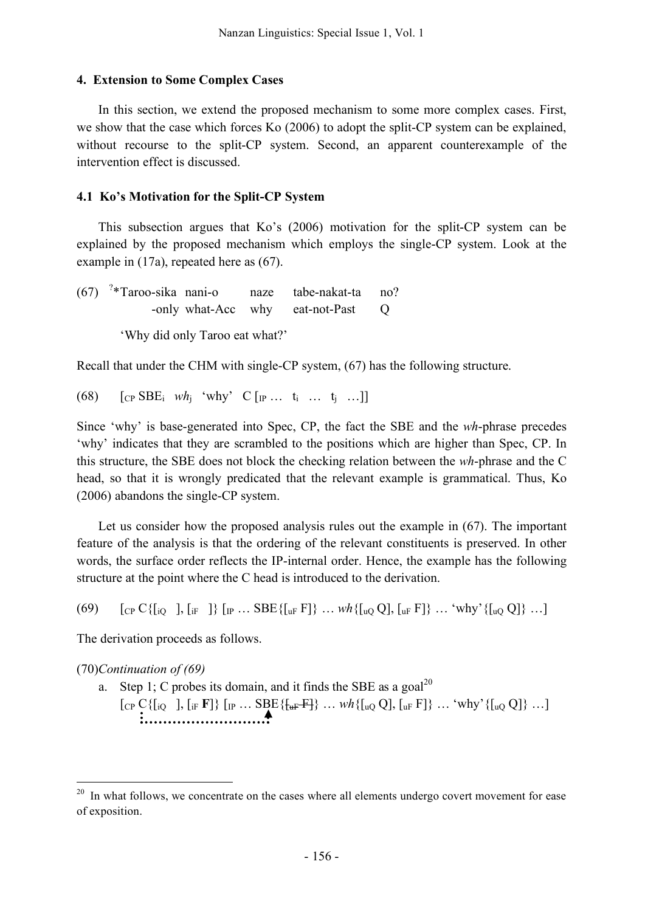#### **4. Extension to Some Complex Cases**

In this section, we extend the proposed mechanism to some more complex cases. First, we show that the case which forces Ko (2006) to adopt the split-CP system can be explained, without recourse to the split-CP system. Second, an apparent counterexample of the intervention effect is discussed.

#### **4.1 Ko's Motivation for the Split-CP System**

This subsection argues that Ko's (2006) motivation for the split-CP system can be explained by the proposed mechanism which employs the single-CP system. Look at the example in (17a), repeated here as (67).

 $(67)$  <sup>2</sup>\*Taroo-sika nani-o naze tabe-nakat-ta no? -only what-Acc why eat-not-Past O

'Why did only Taroo eat what?'

Recall that under the CHM with single-CP system, (67) has the following structure.

(68)  $[CP \text{ SBE}_i \text{ wh}_i \text{ 'why'} \text{ C } [IP \dots \text{ t}_i \dots \text{ t}_i \dots]$ 

Since 'why' is base-generated into Spec, CP, the fact the SBE and the *wh*-phrase precedes 'why' indicates that they are scrambled to the positions which are higher than Spec, CP. In this structure, the SBE does not block the checking relation between the *wh*-phrase and the C head, so that it is wrongly predicated that the relevant example is grammatical. Thus, Ko (2006) abandons the single-CP system.

Let us consider how the proposed analysis rules out the example in (67). The important feature of the analysis is that the ordering of the relevant constituents is preserved. In other words, the surface order reflects the IP-internal order. Hence, the example has the following structure at the point where the C head is introduced to the derivation.

(69)  $[\text{CP } C\{[\text{io}],[\text{ir}]]\}$   $[\text{IP }...$  SBE $\{[\text{uF }F]\}$   $...$   $wh\{[\text{uQ }Q],[\text{uF }F]\}$   $...$  'why' $\{[\text{uQ }Q]\}$   $...]$ 

The derivation proceeds as follows.

(70)*Continuation of (69)*

a. Step 1; C probes its domain, and it finds the SBE as a goal<sup>20</sup>  $[CP C\{[iQ \quad], [i]F \mid F]\} [IP \dots \text{SBE}\{\{\text{uF}\mid\} \dots \text{wh}\{\text{uQ Q}\}, \text{uF F}]\} \dots \text{'why'}\{\text{uQ Q}\} \dots]$ 

 $20$  In what follows, we concentrate on the cases where all elements undergo covert movement for ease of exposition.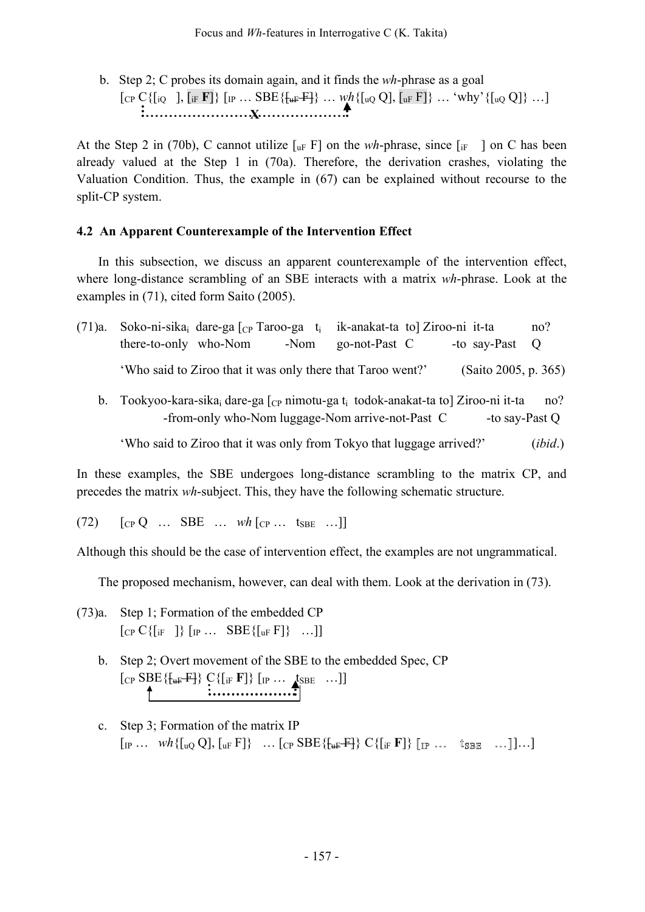b. Step 2; C probes its domain again, and it finds the *wh*-phrase as a goal  $[\text{Cp C}\{[\text{i} \text{Q }], [\text{ir F}]\}\ [\text{IP } ... \text{ SBE}\{\{\text{tr }F\}] \} \ ... \ \text{wh}\{[\text{u} \text{Q Q}], [\text{u} \text{F }F]\} \ ... \ \text{'why'}\{[\text{u} \text{Q Q}]\} \ ...]$ **X**

At the Step 2 in (70b), C cannot utilize  $[\Pi_F F]$  on the *wh*-phrase, since  $[\Pi_F]$  on C has been already valued at the Step 1 in (70a). Therefore, the derivation crashes, violating the Valuation Condition. Thus, the example in (67) can be explained without recourse to the split-CP system.

## **4.2 An Apparent Counterexample of the Intervention Effect**

In this subsection, we discuss an apparent counterexample of the intervention effect, where long-distance scrambling of an SBE interacts with a matrix *wh*-phrase. Look at the examples in (71), cited form Saito (2005).

| (71)a. | Soko-ni-sika <sub>i</sub> dare-ga $\lceil_{CP}$ Taroo-ga $t_i$ ik-anakat-ta to Ziroo-ni it-ta                                                                          |                 |                      | no?     |
|--------|------------------------------------------------------------------------------------------------------------------------------------------------------------------------|-----------------|----------------------|---------|
|        | there-to-only who-Nom<br>-Nom                                                                                                                                          | go-not-Past $C$ | -to say-Past Q       |         |
|        | 'Who said to Ziroo that it was only there that Taroo went?'                                                                                                            |                 | (Saito 2005, p. 365) |         |
|        | b. Tookyoo-kara-sika <sub>i</sub> dare-ga $\lceil_{CP}$ nimotu-ga t <sub>i</sub> todok-anakat-ta to Ziroo-ni it-ta<br>-from-only who-Nom luggage-Nom arrive-not-Past C |                 | -to say-Past Q       | no?     |
|        | 'Who said to Ziroo that it was only from Tokyo that luggage arrived?'                                                                                                  |                 |                      | (ibid.) |

In these examples, the SBE undergoes long-distance scrambling to the matrix CP, and precedes the matrix *wh*-subject. This, they have the following schematic structure.

 $(72)$   $[CP Q ... SBE ... wh [CP ... tsBE ...]]$ 

Although this should be the case of intervention effect, the examples are not ungrammatical.

The proposed mechanism, however, can deal with them. Look at the derivation in (73).

(73)a. Step 1; Formation of the embedded CP  $[CP C\{ [if ] \} [IP ... SBE\{ [uF] \} ... ]]$ 

- b. Step 2; Overt movement of the SBE to the embedded Spec, CP  $[CP \text{ SBE} \{\{\text{uF} \} \} \text{ C}\{[IF \text{ F}]\} \text{ [IP ...} \text{ tSBE ...} ]$
- c. Step 3; Formation of the matrix IP  $\left[\begin{matrix} {}_{IP} \dots & wh\{[{}_{uQ} Q], [{}_{uF} F]\} & \dots & \text{[CP} \text{SBE}\{[{}_{uF} F]\} & \text{C}\{[{}_{iF} F]\} & \text{[IP} \dots & \text{t}_{SBE} & \dots \end{matrix}\right] \dots\right]$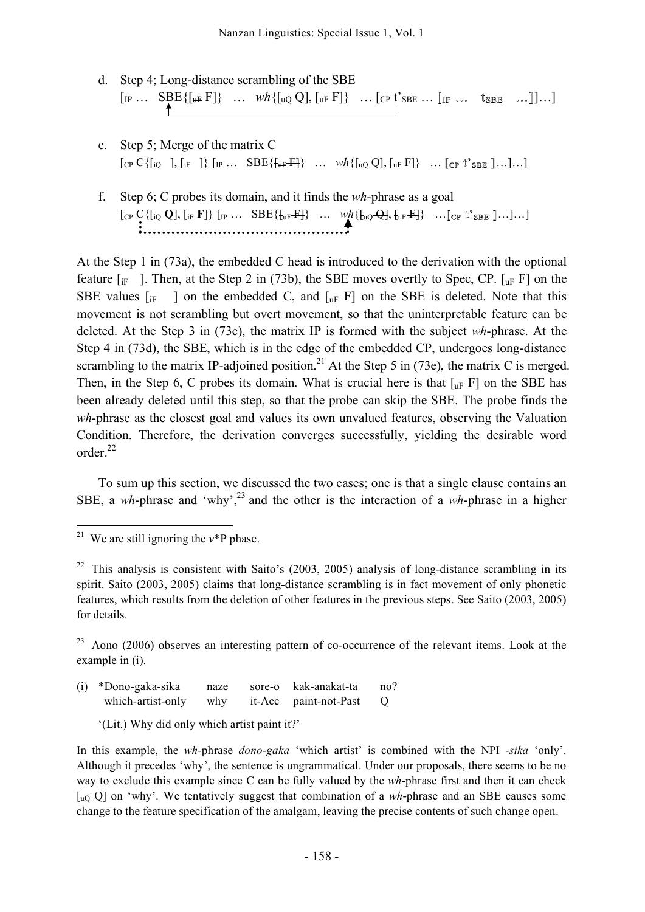- d. Step 4; Long-distance scrambling of the SBE  $\left[\mathbb{I}_{P} \cdots \begin{array}{ccc} \mathsf{SBE}\{\mathsf{H}_{\mathsf{H} \mathsf{F}} \mathsf{F}\} & \cdots & \mathsf{w}h\{\mathsf{I}_{\mathsf{u} \mathsf{Q}} \mathsf{Q}\}, \mathsf{I}_{\mathsf{u} \mathsf{F}} \mathsf{F}\} & \cdots & \mathsf{I}_{\mathsf{C} P} \mathsf{t}' \mathsf{s}_{\mathsf{B} \mathsf{E}} & \cdots & \mathsf{I}_{\mathsf{S} P} \end{array} \right] \cdots \right]$
- e. Step 5; Merge of the matrix C  $[CP C\{[i] \quad], [if] \quad]\} [IP \dots \quad \text{SBE}\{\{\text{uF}^{\text{}}\} \quad \dots \quad \text{wh}\{\text{uQ Q}\}, \text{uF F}\} \quad \dots \quad \text{[CP \text{ t's}_{\text{BB}} \,]\dots].\]$
- f. Step 6; C probes its domain, and it finds the *wh*-phrase as a goal  $[$  [CP C{[iQ Q], [iF **F**]} [IP ... SBE{ $\{$ <sub>UF</sub> F<sup>1</sup>} ...  $wh$ { $\{$ <sub>uQ</sub> Q],  $\{$ <sub>uF</sub> F<sup>1</sup>} ... [CP  $t$ <sup>2</sup> SBE ]...]...]

At the Step 1 in (73a), the embedded C head is introduced to the derivation with the optional feature  $\begin{bmatrix} i_F \end{bmatrix}$ . Then, at the Step 2 in (73b), the SBE moves overtly to Spec, CP.  $\begin{bmatrix} i_F \end{bmatrix}$  on the SBE values  $\begin{bmatrix} i_F \end{bmatrix}$  on the embedded C, and  $\begin{bmatrix} u_F \end{bmatrix}$  on the SBE is deleted. Note that this movement is not scrambling but overt movement, so that the uninterpretable feature can be deleted. At the Step 3 in (73c), the matrix IP is formed with the subject *wh*-phrase. At the Step 4 in (73d), the SBE, which is in the edge of the embedded CP, undergoes long-distance scrambling to the matrix IP-adjoined position.<sup>21</sup> At the Step 5 in (73e), the matrix C is merged. Then, in the Step 6, C probes its domain. What is crucial here is that  $\lceil u_F F \rceil$  on the SBE has been already deleted until this step, so that the probe can skip the SBE. The probe finds the *wh*-phrase as the closest goal and values its own unvalued features, observing the Valuation Condition. Therefore, the derivation converges successfully, yielding the desirable word order. 22

To sum up this section, we discussed the two cases; one is that a single clause contains an SBE, a wh-phrase and 'why',<sup>23</sup> and the other is the interaction of a wh-phrase in a higher

(i) \*Dono-gaka-sika naze sore-o kak-anakat-ta no? which-artist-only why it-Acc paint-not-Past Q

'(Lit.) Why did only which artist paint it?'

<sup>&</sup>lt;sup>21</sup> We are still ignoring the  $v^*P$  phase.

 $22$  This analysis is consistent with Saito's (2003, 2005) analysis of long-distance scrambling in its spirit. Saito (2003, 2005) claims that long-distance scrambling is in fact movement of only phonetic features, which results from the deletion of other features in the previous steps. See Saito (2003, 2005) for details.

 $23$  Aono (2006) observes an interesting pattern of co-occurrence of the relevant items. Look at the example in (i).

In this example, the *wh*-phrase *dono-gaka* 'which artist' is combined with the NPI *-sika* 'only'. Although it precedes 'why', the sentence is ungrammatical. Under our proposals, there seems to be no way to exclude this example since C can be fully valued by the *wh*-phrase first and then it can check [uQ Q] on 'why'. We tentatively suggest that combination of a *wh*-phrase and an SBE causes some change to the feature specification of the amalgam, leaving the precise contents of such change open.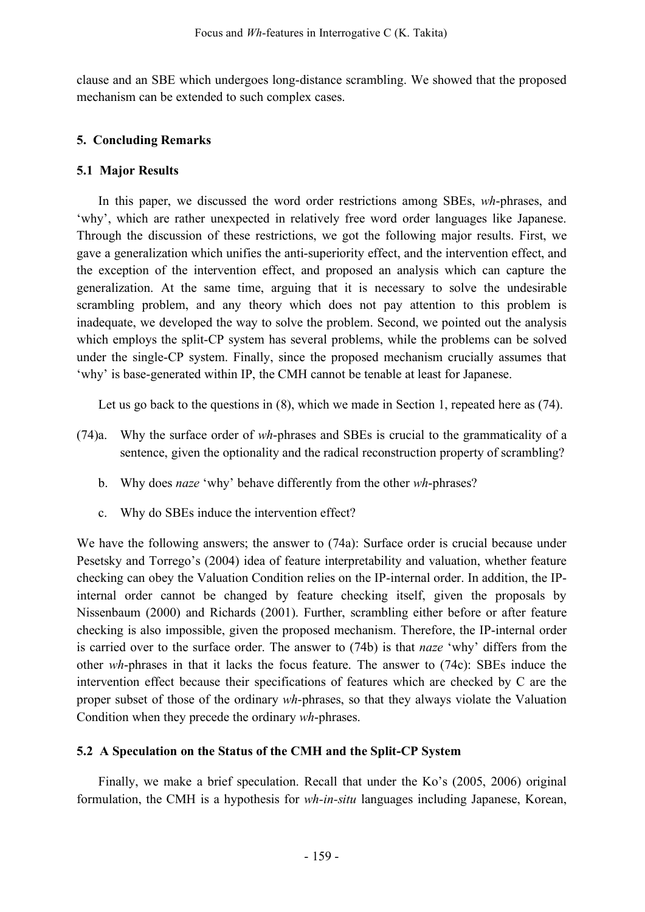clause and an SBE which undergoes long-distance scrambling. We showed that the proposed mechanism can be extended to such complex cases.

# **5. Concluding Remarks**

## **5.1 Major Results**

In this paper, we discussed the word order restrictions among SBEs, *wh*-phrases, and 'why', which are rather unexpected in relatively free word order languages like Japanese. Through the discussion of these restrictions, we got the following major results. First, we gave a generalization which unifies the anti-superiority effect, and the intervention effect, and the exception of the intervention effect, and proposed an analysis which can capture the generalization. At the same time, arguing that it is necessary to solve the undesirable scrambling problem, and any theory which does not pay attention to this problem is inadequate, we developed the way to solve the problem. Second, we pointed out the analysis which employs the split-CP system has several problems, while the problems can be solved under the single-CP system. Finally, since the proposed mechanism crucially assumes that 'why' is base-generated within IP, the CMH cannot be tenable at least for Japanese.

Let us go back to the questions in (8), which we made in Section 1, repeated here as (74).

- (74)a. Why the surface order of *wh*-phrases and SBEs is crucial to the grammaticality of a sentence, given the optionality and the radical reconstruction property of scrambling?
	- b. Why does *naze* 'why' behave differently from the other *wh*-phrases?
	- c. Why do SBEs induce the intervention effect?

We have the following answers; the answer to (74a): Surface order is crucial because under Pesetsky and Torrego's (2004) idea of feature interpretability and valuation, whether feature checking can obey the Valuation Condition relies on the IP-internal order. In addition, the IPinternal order cannot be changed by feature checking itself, given the proposals by Nissenbaum (2000) and Richards (2001). Further, scrambling either before or after feature checking is also impossible, given the proposed mechanism. Therefore, the IP-internal order is carried over to the surface order. The answer to (74b) is that *naze* 'why' differs from the other *wh*-phrases in that it lacks the focus feature. The answer to (74c): SBEs induce the intervention effect because their specifications of features which are checked by C are the proper subset of those of the ordinary *wh*-phrases, so that they always violate the Valuation Condition when they precede the ordinary *wh*-phrases.

## **5.2 A Speculation on the Status of the CMH and the Split-CP System**

Finally, we make a brief speculation. Recall that under the Ko's (2005, 2006) original formulation, the CMH is a hypothesis for *wh-in-situ* languages including Japanese, Korean,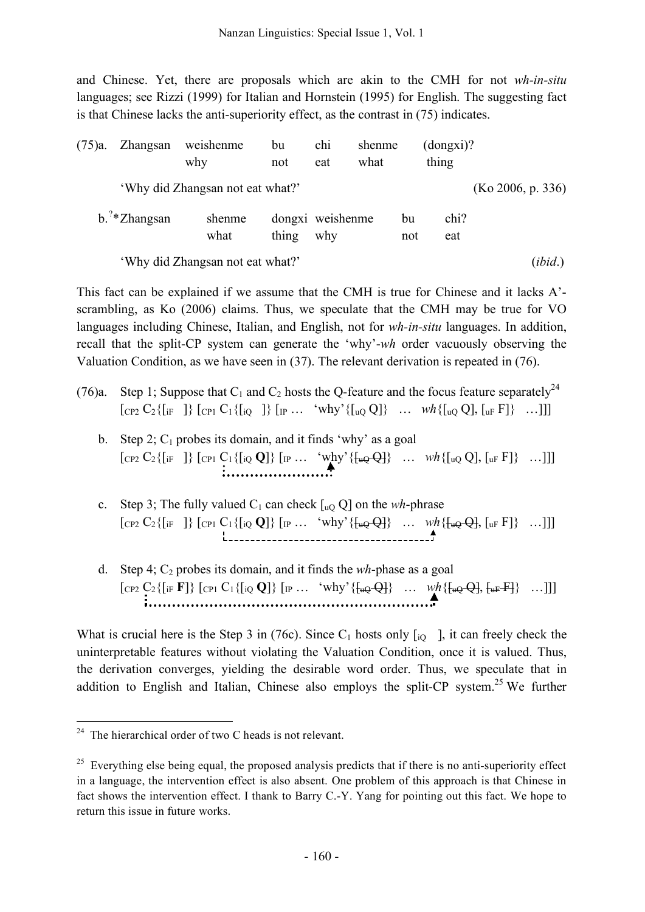and Chinese. Yet, there are proposals which are akin to the CMH for not *wh-in-situ* languages; see Rizzi (1999) for Italian and Hornstein (1995) for English. The suggesting fact is that Chinese lacks the anti-superiority effect, as the contrast in (75) indicates.

| (75)a. | Zhangsan                                              | weishenme<br>why                 | bu<br>not | chi<br>eat              | shenme<br>what |           | (dongxi)?<br>thing |         |
|--------|-------------------------------------------------------|----------------------------------|-----------|-------------------------|----------------|-----------|--------------------|---------|
|        | 'Why did Zhangsan not eat what?'<br>(Ko 2006, p. 336) |                                  |           |                         |                |           |                    |         |
|        | $b.^{7*}Z$ hangsan                                    | shenme<br>what                   | thing     | dongxi weishenme<br>why |                | bu<br>not | chi?<br>eat        |         |
|        |                                                       | 'Why did Zhangsan not eat what?' |           |                         |                |           |                    | (ibid.) |

This fact can be explained if we assume that the CMH is true for Chinese and it lacks A' scrambling, as Ko (2006) claims. Thus, we speculate that the CMH may be true for VO languages including Chinese, Italian, and English, not for *wh-in-situ* languages. In addition, recall that the split-CP system can generate the 'why'-*wh* order vacuously observing the Valuation Condition, as we have seen in (37). The relevant derivation is repeated in (76).

- (76)a. Step 1; Suppose that  $C_1$  and  $C_2$  hosts the Q-feature and the focus feature separately<sup>24</sup>  $[\text{CP2 } C_2 \{[\text{if } ]\} \text{[CP1 } C_1 \{[\text{io } ]\} \text{[p } ... \text{ 'why' } \{[\text{uo } Q]\} \text{[m } \text{with } \{[\text{uo } Q], [\text{uF } F]\} \text{[m]}]$ 
	- b. Step 2;  $C_1$  probes its domain, and it finds 'why' as a goal  $[CP_2 C_2 \{ [if \ ] \} [CP_1 C_1 \{ [i \ Q \ ] \} [IP \ ... \ w h]^{\prime} \{ [i \ Q \ Q] \} [I \ ... \ y h \{ [i \ Q \ Q] \} [I \ F] \} \ ...]]]$
	- c. Step 3; The fully valued  $C_1$  can check  $\left[\begin{smallmatrix}1 & 0 \\ 0 & 0\end{smallmatrix}\right]$  on the *wh*-phrase  $[CP2 C_2 \{ [if \ ] \} [CP1 C_1 \{ [i \ Q] \} [IP \ ... \ 'why' \{ [u \ Q \} \} \ ... \ wh \{ [u \ Q \ Q], [u \ F] \} \ ...]]]$
	- d. Step 4;  $C_2$  probes its domain, and it finds the *wh*-phase as a goal  $[CP_2 C_2 \{ [if F] \} [CP_1 C_1 \{ [i_Q Q] \} [IP ... 'why' \{ [u_Q Q] \} ... wh \{ [u_Q Q], [u_F F] \} ...]] ]$

What is crucial here is the Step 3 in (76c). Since  $C_1$  hosts only  $\begin{bmatrix} 1 & 0 \\ 0 & 1 \end{bmatrix}$ , it can freely check the uninterpretable features without violating the Valuation Condition, once it is valued. Thus, the derivation converges, yielding the desirable word order. Thus, we speculate that in addition to English and Italian, Chinese also employs the split-CP system.<sup>25</sup> We further

 $24$  The hierarchical order of two C heads is not relevant.

<sup>&</sup>lt;sup>25</sup> Everything else being equal, the proposed analysis predicts that if there is no anti-superiority effect in a language, the intervention effect is also absent. One problem of this approach is that Chinese in fact shows the intervention effect. I thank to Barry C.-Y. Yang for pointing out this fact. We hope to return this issue in future works.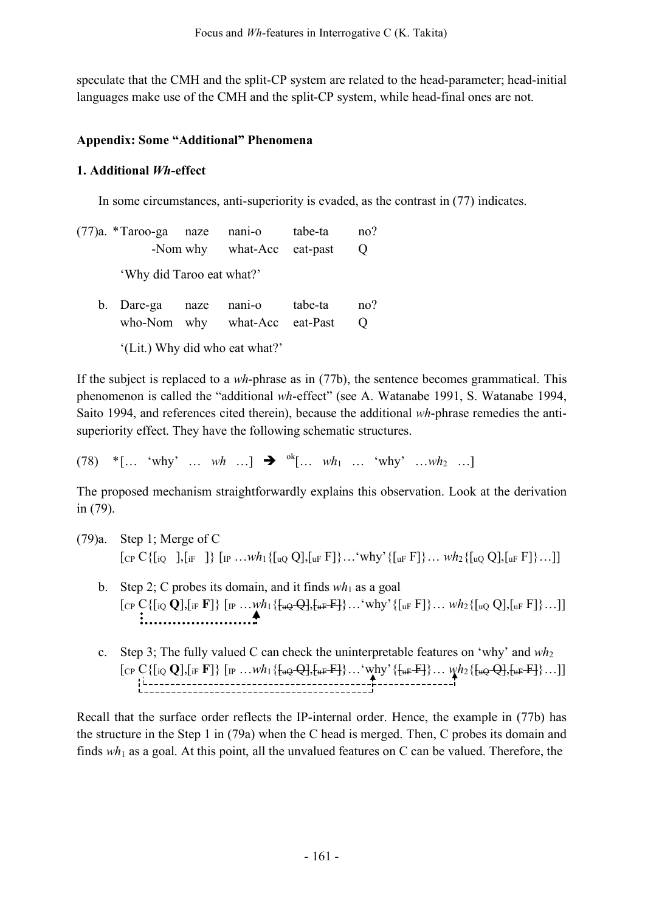speculate that the CMH and the split-CP system are related to the head-parameter; head-initial languages make use of the CMH and the split-CP system, while head-final ones are not.

# **Appendix: Some "Additional" Phenomena**

# **1. Additional** *Wh***-effect**

In some circumstances, anti-superiority is evaded, as the contrast in (77) indicates.

(77)a. \*Taroo-ga naze nani-o tabe-ta no? -Nom why what-Acc eat-past Q 'Why did Taroo eat what?' b. Dare-ga naze nani-o tabe-ta no?

| 0. Darc-ga haze ham-o tabe-ta  |                                 | $\mathbf{H}$ |
|--------------------------------|---------------------------------|--------------|
|                                | who-Nom why what-Acc eat-Past Q |              |
| '(Lit.) Why did who eat what?' |                                 |              |

If the subject is replaced to a *wh*-phrase as in (77b), the sentence becomes grammatical. This phenomenon is called the "additional *wh*-effect" (see A. Watanabe 1991, S. Watanabe 1994, Saito 1994, and references cited therein), because the additional *wh*-phrase remedies the antisuperiority effect. They have the following schematic structures.

 $(78)$  \*[... 'why' ... *wh* ...]  $\rightarrow$  <sup>ok</sup>[... *wh*<sub>1</sub> ... 'why' ...*wh*<sub>2</sub> ...]

The proposed mechanism straightforwardly explains this observation. Look at the derivation in (79).

- (79)a. Step 1; Merge of C  $[\text{Cp } C\{[\text{io} \quad],[_{if} \quad]\}\ [\text{p }...wh_1\{[\text{uo }Q],[_{uF} F]\}...]$  why  $[\text{uF } F],..]$  *wh*<sub>2</sub> $[\text{uo }Q],[_{uF} F],...]$ 
	- b. Step 2; C probes its domain, and it finds  $wh_1$  as a goal  $[CP C{[i_Q Q], [i_F F]} [IP ... w h_1{H_uQ-Q}, [u_F F] ... w hy' {[u_F F]} ... w h_2{[u_Q Q], [u_F F]} ... ]]$
	- c. Step 3; The fully valued C can check the uninterpretable features on 'why' and *wh*<sup>2</sup>  $[CP C\{[iQ \mathbf{Q}],[iF \mathbf{F}]\}\{[IP \dots wh_1\{\text{tq}Q \mathbf{Q}],[\text{tq}F \mathbf{F}]\}\dots \mathbf{v}_N\} \times \{\text{tq}F \mathbf{F}]\}\dots \mathbf{v}_N\} \times \{\text{tq}G\} \times \{\text{tq}G \mathbf{Q}],[\text{tq}F \mathbf{F}]\}\dots]$

Recall that the surface order reflects the IP-internal order. Hence, the example in (77b) has the structure in the Step 1 in (79a) when the C head is merged. Then, C probes its domain and finds  $wh_1$  as a goal. At this point, all the unvalued features on C can be valued. Therefore, the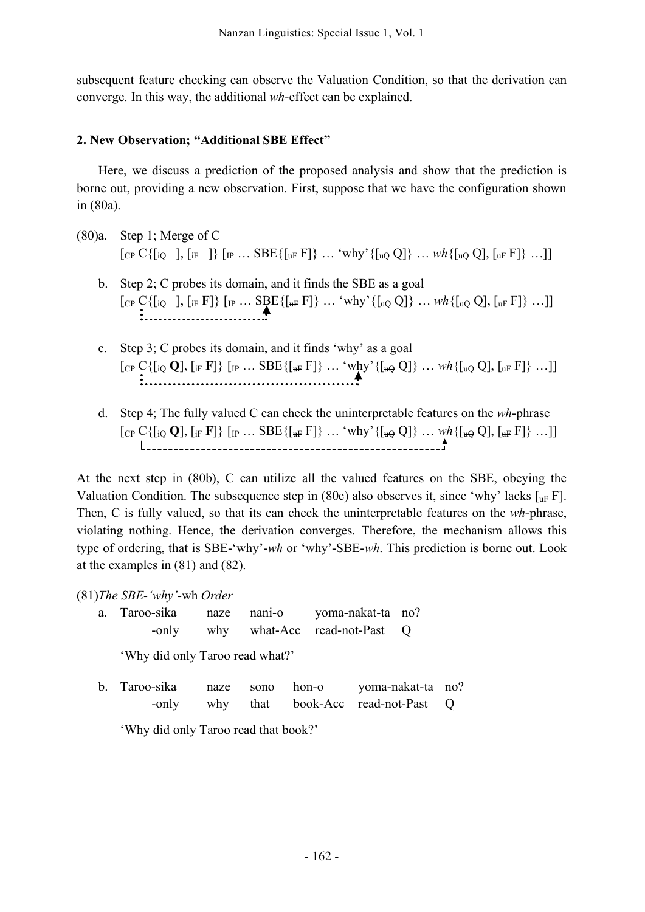subsequent feature checking can observe the Valuation Condition, so that the derivation can converge. In this way, the additional *wh*-effect can be explained.

## **2. New Observation; "Additional SBE Effect"**

Here, we discuss a prediction of the proposed analysis and show that the prediction is borne out, providing a new observation. First, suppose that we have the configuration shown in (80a).

- (80)a. Step 1; Merge of C  $[CP C\{ [i]Q], [i]F] \} [IP ... SBE\{ [u]F] \} ... \$  why'  $\{ [u]QQ] \} ... \le h\{ [u]QQ], [u]F] \} ... ]$ 
	- b. Step 2; C probes its domain, and it finds the SBE as a goal  $[CP C\{[iQ \quad], [iF \ F]\}\ [IP \dots \underset{\bullet}{\text{SBE}}\{\{\text{aF-F}\}\} \dots \text{`why'}\{[uQ \ Q]\}\ \dots \text{wh}\{[uQ \ Q], [uF \ F]\}\ \dots]$
	- c. Step 3; C probes its domain, and it finds 'why' as a goal  $[CP C\{[i\{Q\}, [i]F]F]\} [IP ... SBE\{\{\text{uF}\}F\} ... \$  why'  $\{\text{uQ}\}$ ,  $[UP] [UP]$  ...]]
	- d. Step 4; The fully valued C can check the uninterpretable features on the *wh*-phrase  $[CP C\{[i\{Q\}, [i]F]F]\} [IP ... SBE\{[uF]F]\} ... 'why' \{[uQ\}]. wh\{[uQ\}F] [uF]F] ... ]]$

At the next step in (80b), C can utilize all the valued features on the SBE, obeying the Valuation Condition. The subsequence step in (80c) also observes it, since 'why' lacks  $\lceil_{\text{uF}} F \rceil$ . Then, C is fully valued, so that its can check the uninterpretable features on the *wh*-phrase, violating nothing. Hence, the derivation converges. Therefore, the mechanism allows this type of ordering, that is SBE-'why'-*wh* or 'why'-SBE-*wh*. This prediction is borne out. Look at the examples in (81) and (82).

(81)*The SBE-'why'-*wh *Order*

| a. Taroo-sika | naze nani-o | yoma-nakat-ta no?            |  |  |
|---------------|-------------|------------------------------|--|--|
| -only         |             | why what-Acc read-not-Past Q |  |  |

'Why did only Taroo read what?'

b. Taroo-sika naze sono hon-o yoma-nakat-ta no? -only why that book-Acc read-not-Past Q

'Why did only Taroo read that book?'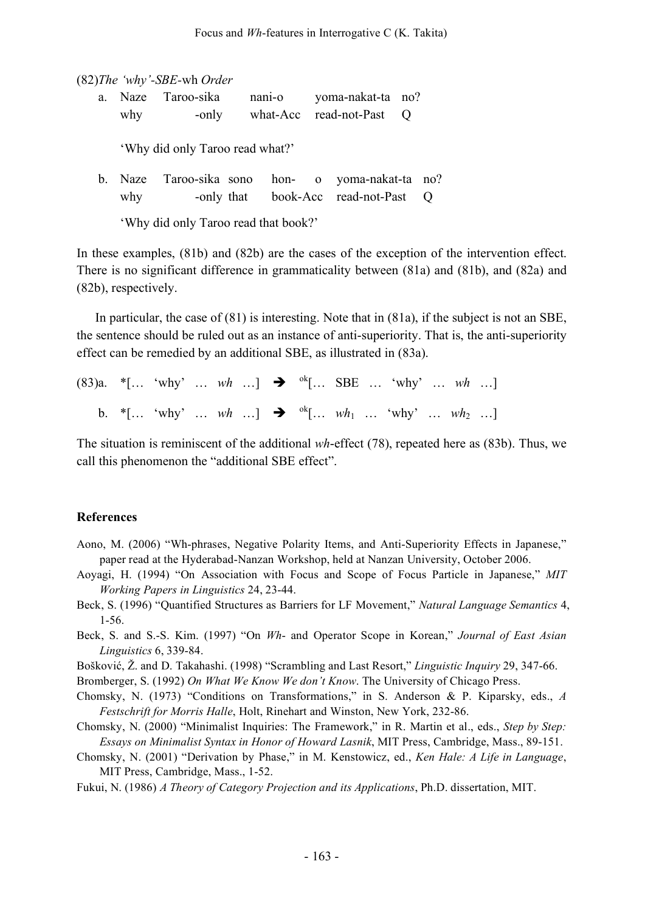(82)*The 'why'-SBE-*wh *Order*

|     | a. Naze Taroo-sika | nan <sub>1</sub> -o | yoma-nakat-ta no?          |  |
|-----|--------------------|---------------------|----------------------------|--|
| why | -only              |                     | what-Acc read-not-Past $Q$ |  |

'Why did only Taroo read what?'

b. Naze Taroo-sika sono hon- o yoma-nakat-ta no? why -only that book-Acc read-not-Past Q

'Why did only Taroo read that book?'

In these examples, (81b) and (82b) are the cases of the exception of the intervention effect. There is no significant difference in grammaticality between (81a) and (81b), and (82a) and (82b), respectively.

In particular, the case of (81) is interesting. Note that in (81a), if the subject is not an SBE, the sentence should be ruled out as an instance of anti-superiority. That is, the anti-superiority effect can be remedied by an additional SBE, as illustrated in (83a).

|  | (83)a. *[ 'why'  wh ] $\rightarrow$ <sup>ok</sup> [ SBE  'why'  wh ]                     |  |  |  |  |  |  |
|--|------------------------------------------------------------------------------------------|--|--|--|--|--|--|
|  | b. *[ 'why'  wh ] $\rightarrow$ <sup>ok</sup> [ wh <sub>1</sub> 'why'  wh <sub>2</sub> ] |  |  |  |  |  |  |

The situation is reminiscent of the additional *wh*-effect (78), repeated here as (83b). Thus, we call this phenomenon the "additional SBE effect".

#### **References**

- Aono, M. (2006) "Wh-phrases, Negative Polarity Items, and Anti-Superiority Effects in Japanese," paper read at the Hyderabad-Nanzan Workshop, held at Nanzan University, October 2006.
- Aoyagi, H. (1994) "On Association with Focus and Scope of Focus Particle in Japanese," *MIT Working Papers in Linguistics* 24, 23-44.
- Beck, S. (1996) "Quantified Structures as Barriers for LF Movement," *Natural Language Semantics* 4, 1-56.
- Beck, S. and S.-S. Kim. (1997) "On *Wh* and Operator Scope in Korean," *Journal of East Asian Linguistics* 6, 339-84.

Bošković, Ž. and D. Takahashi. (1998) "Scrambling and Last Resort," *Linguistic Inquiry* 29, 347-66.

Bromberger, S. (1992) *On What We Know We don't Know*. The University of Chicago Press.

- Chomsky, N. (1973) "Conditions on Transformations," in S. Anderson & P. Kiparsky, eds., *A Festschrift for Morris Halle*, Holt, Rinehart and Winston, New York, 232-86.
- Chomsky, N. (2000) "Minimalist Inquiries: The Framework," in R. Martin et al., eds., *Step by Step: Essays on Minimalist Syntax in Honor of Howard Lasnik*, MIT Press, Cambridge, Mass., 89-151.
- Chomsky, N. (2001) "Derivation by Phase," in M. Kenstowicz, ed., *Ken Hale: A Life in Language*, MIT Press, Cambridge, Mass., 1-52.
- Fukui, N. (1986) *A Theory of Category Projection and its Applications*, Ph.D. dissertation, MIT.